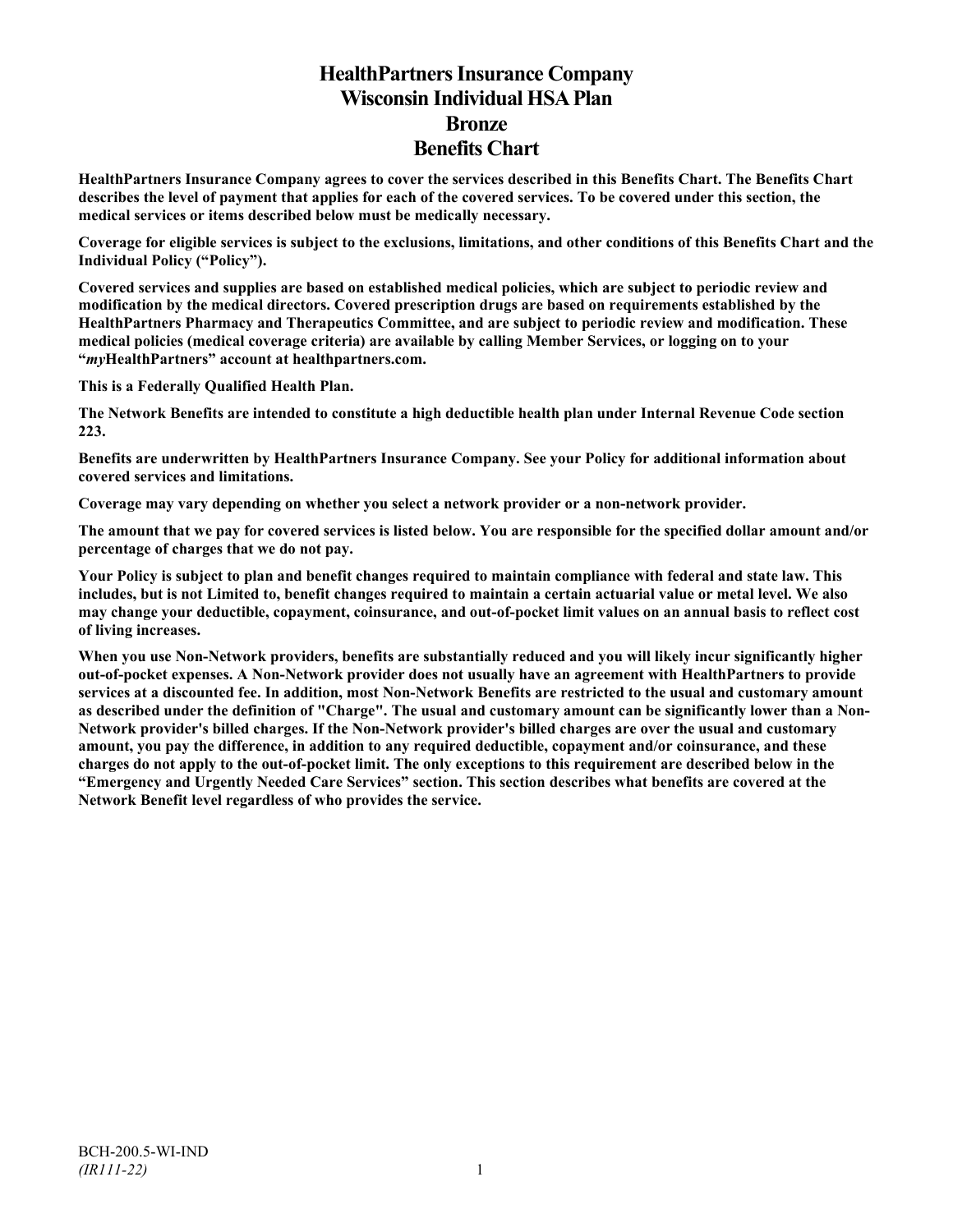# **HealthPartners Insurance Company Wisconsin Individual HSA Plan Bronze Benefits Chart**

**HealthPartners Insurance Company agrees to cover the services described in this Benefits Chart. The Benefits Chart describes the level of payment that applies for each of the covered services. To be covered under this section, the medical services or items described below must be medically necessary.**

**Coverage for eligible services is subject to the exclusions, limitations, and other conditions of this Benefits Chart and the Individual Policy ("Policy").**

**Covered services and supplies are based on established medical policies, which are subject to periodic review and modification by the medical directors. Covered prescription drugs are based on requirements established by the HealthPartners Pharmacy and Therapeutics Committee, and are subject to periodic review and modification. These medical policies (medical coverage criteria) are available by calling Member Services, or logging on to your "***my***HealthPartners" account at [healthpartners.com.](http://www.healthpartners.com/)**

**This is a Federally Qualified Health Plan.**

**The Network Benefits are intended to constitute a high deductible health plan under Internal Revenue Code section 223.**

**Benefits are underwritten by HealthPartners Insurance Company. See your Policy for additional information about covered services and limitations.**

**Coverage may vary depending on whether you select a network provider or a non-network provider.**

**The amount that we pay for covered services is listed below. You are responsible for the specified dollar amount and/or percentage of charges that we do not pay.**

**Your Policy is subject to plan and benefit changes required to maintain compliance with federal and state law. This includes, but is not Limited to, benefit changes required to maintain a certain actuarial value or metal level. We also may change your deductible, copayment, coinsurance, and out-of-pocket limit values on an annual basis to reflect cost of living increases.**

**When you use Non-Network providers, benefits are substantially reduced and you will likely incur significantly higher out-of-pocket expenses. A Non-Network provider does not usually have an agreement with HealthPartners to provide services at a discounted fee. In addition, most Non-Network Benefits are restricted to the usual and customary amount as described under the definition of "Charge". The usual and customary amount can be significantly lower than a Non-Network provider's billed charges. If the Non-Network provider's billed charges are over the usual and customary amount, you pay the difference, in addition to any required deductible, copayment and/or coinsurance, and these charges do not apply to the out-of-pocket limit. The only exceptions to this requirement are described below in the "Emergency and Urgently Needed Care Services" section. This section describes what benefits are covered at the Network Benefit level regardless of who provides the service.**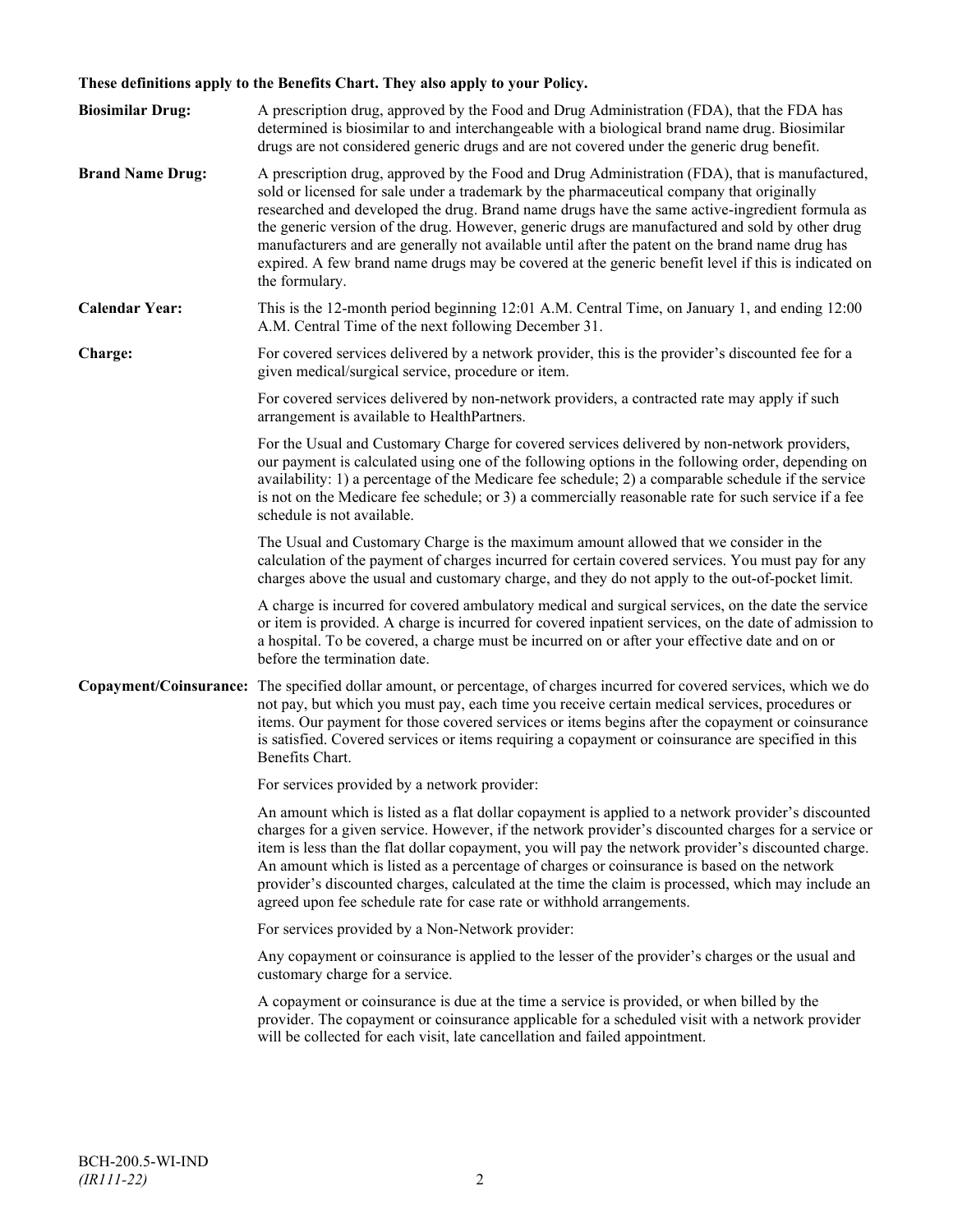## **These definitions apply to the Benefits Chart. They also apply to your Policy.**

| <b>Biosimilar Drug:</b> | A prescription drug, approved by the Food and Drug Administration (FDA), that the FDA has<br>determined is biosimilar to and interchangeable with a biological brand name drug. Biosimilar<br>drugs are not considered generic drugs and are not covered under the generic drug benefit.                                                                                                                                                                                                                                                                                                                                     |
|-------------------------|------------------------------------------------------------------------------------------------------------------------------------------------------------------------------------------------------------------------------------------------------------------------------------------------------------------------------------------------------------------------------------------------------------------------------------------------------------------------------------------------------------------------------------------------------------------------------------------------------------------------------|
| <b>Brand Name Drug:</b> | A prescription drug, approved by the Food and Drug Administration (FDA), that is manufactured,<br>sold or licensed for sale under a trademark by the pharmaceutical company that originally<br>researched and developed the drug. Brand name drugs have the same active-ingredient formula as<br>the generic version of the drug. However, generic drugs are manufactured and sold by other drug<br>manufacturers and are generally not available until after the patent on the brand name drug has<br>expired. A few brand name drugs may be covered at the generic benefit level if this is indicated on<br>the formulary. |
| <b>Calendar Year:</b>   | This is the 12-month period beginning 12:01 A.M. Central Time, on January 1, and ending 12:00<br>A.M. Central Time of the next following December 31.                                                                                                                                                                                                                                                                                                                                                                                                                                                                        |
| Charge:                 | For covered services delivered by a network provider, this is the provider's discounted fee for a<br>given medical/surgical service, procedure or item.                                                                                                                                                                                                                                                                                                                                                                                                                                                                      |
|                         | For covered services delivered by non-network providers, a contracted rate may apply if such<br>arrangement is available to HealthPartners.                                                                                                                                                                                                                                                                                                                                                                                                                                                                                  |
|                         | For the Usual and Customary Charge for covered services delivered by non-network providers,<br>our payment is calculated using one of the following options in the following order, depending on<br>availability: 1) a percentage of the Medicare fee schedule; 2) a comparable schedule if the service<br>is not on the Medicare fee schedule; or 3) a commercially reasonable rate for such service if a fee<br>schedule is not available.                                                                                                                                                                                 |
|                         | The Usual and Customary Charge is the maximum amount allowed that we consider in the<br>calculation of the payment of charges incurred for certain covered services. You must pay for any<br>charges above the usual and customary charge, and they do not apply to the out-of-pocket limit.                                                                                                                                                                                                                                                                                                                                 |
|                         | A charge is incurred for covered ambulatory medical and surgical services, on the date the service<br>or item is provided. A charge is incurred for covered inpatient services, on the date of admission to<br>a hospital. To be covered, a charge must be incurred on or after your effective date and on or<br>before the termination date.                                                                                                                                                                                                                                                                                |
|                         | Copayment/Coinsurance: The specified dollar amount, or percentage, of charges incurred for covered services, which we do<br>not pay, but which you must pay, each time you receive certain medical services, procedures or<br>items. Our payment for those covered services or items begins after the copayment or coinsurance<br>is satisfied. Covered services or items requiring a copayment or coinsurance are specified in this<br>Benefits Chart.                                                                                                                                                                      |
|                         | For services provided by a network provider:                                                                                                                                                                                                                                                                                                                                                                                                                                                                                                                                                                                 |
|                         | An amount which is listed as a flat dollar copayment is applied to a network provider's discounted<br>charges for a given service. However, if the network provider's discounted charges for a service or<br>item is less than the flat dollar copayment, you will pay the network provider's discounted charge.<br>An amount which is listed as a percentage of charges or coinsurance is based on the network<br>provider's discounted charges, calculated at the time the claim is processed, which may include an<br>agreed upon fee schedule rate for case rate or withhold arrangements.                               |
|                         | For services provided by a Non-Network provider:                                                                                                                                                                                                                                                                                                                                                                                                                                                                                                                                                                             |
|                         | Any copayment or coinsurance is applied to the lesser of the provider's charges or the usual and<br>customary charge for a service.                                                                                                                                                                                                                                                                                                                                                                                                                                                                                          |
|                         | A copayment or coinsurance is due at the time a service is provided, or when billed by the<br>provider. The copayment or coinsurance applicable for a scheduled visit with a network provider<br>will be collected for each visit, late cancellation and failed appointment.                                                                                                                                                                                                                                                                                                                                                 |
|                         |                                                                                                                                                                                                                                                                                                                                                                                                                                                                                                                                                                                                                              |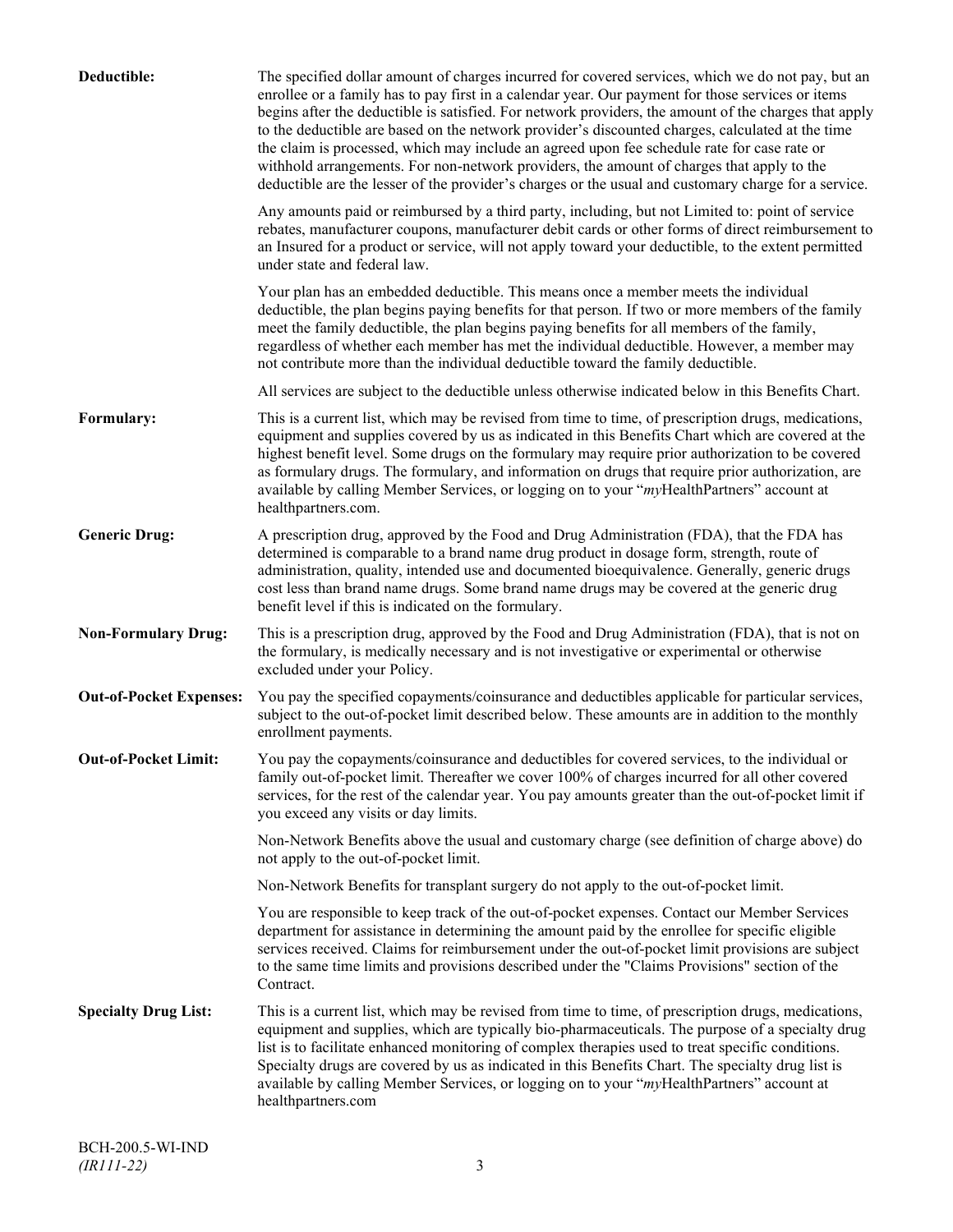| Deductible:                    | The specified dollar amount of charges incurred for covered services, which we do not pay, but an<br>enrollee or a family has to pay first in a calendar year. Our payment for those services or items<br>begins after the deductible is satisfied. For network providers, the amount of the charges that apply<br>to the deductible are based on the network provider's discounted charges, calculated at the time<br>the claim is processed, which may include an agreed upon fee schedule rate for case rate or<br>withhold arrangements. For non-network providers, the amount of charges that apply to the<br>deductible are the lesser of the provider's charges or the usual and customary charge for a service. |
|--------------------------------|-------------------------------------------------------------------------------------------------------------------------------------------------------------------------------------------------------------------------------------------------------------------------------------------------------------------------------------------------------------------------------------------------------------------------------------------------------------------------------------------------------------------------------------------------------------------------------------------------------------------------------------------------------------------------------------------------------------------------|
|                                | Any amounts paid or reimbursed by a third party, including, but not Limited to: point of service<br>rebates, manufacturer coupons, manufacturer debit cards or other forms of direct reimbursement to<br>an Insured for a product or service, will not apply toward your deductible, to the extent permitted<br>under state and federal law.                                                                                                                                                                                                                                                                                                                                                                            |
|                                | Your plan has an embedded deductible. This means once a member meets the individual<br>deductible, the plan begins paying benefits for that person. If two or more members of the family<br>meet the family deductible, the plan begins paying benefits for all members of the family,<br>regardless of whether each member has met the individual deductible. However, a member may<br>not contribute more than the individual deductible toward the family deductible.                                                                                                                                                                                                                                                |
|                                | All services are subject to the deductible unless otherwise indicated below in this Benefits Chart.                                                                                                                                                                                                                                                                                                                                                                                                                                                                                                                                                                                                                     |
| Formulary:                     | This is a current list, which may be revised from time to time, of prescription drugs, medications,<br>equipment and supplies covered by us as indicated in this Benefits Chart which are covered at the<br>highest benefit level. Some drugs on the formulary may require prior authorization to be covered<br>as formulary drugs. The formulary, and information on drugs that require prior authorization, are<br>available by calling Member Services, or logging on to your "myHealthPartners" account at<br>healthpartners.com.                                                                                                                                                                                   |
| <b>Generic Drug:</b>           | A prescription drug, approved by the Food and Drug Administration (FDA), that the FDA has<br>determined is comparable to a brand name drug product in dosage form, strength, route of<br>administration, quality, intended use and documented bioequivalence. Generally, generic drugs<br>cost less than brand name drugs. Some brand name drugs may be covered at the generic drug<br>benefit level if this is indicated on the formulary.                                                                                                                                                                                                                                                                             |
| <b>Non-Formulary Drug:</b>     | This is a prescription drug, approved by the Food and Drug Administration (FDA), that is not on<br>the formulary, is medically necessary and is not investigative or experimental or otherwise<br>excluded under your Policy.                                                                                                                                                                                                                                                                                                                                                                                                                                                                                           |
| <b>Out-of-Pocket Expenses:</b> | You pay the specified copayments/coinsurance and deductibles applicable for particular services,<br>subject to the out-of-pocket limit described below. These amounts are in addition to the monthly<br>enrollment payments.                                                                                                                                                                                                                                                                                                                                                                                                                                                                                            |
| <b>Out-of-Pocket Limit:</b>    | You pay the copayments/coinsurance and deductibles for covered services, to the individual or<br>family out-of-pocket limit. Thereafter we cover 100% of charges incurred for all other covered<br>services, for the rest of the calendar year. You pay amounts greater than the out-of-pocket limit if<br>you exceed any visits or day limits.                                                                                                                                                                                                                                                                                                                                                                         |
|                                | Non-Network Benefits above the usual and customary charge (see definition of charge above) do<br>not apply to the out-of-pocket limit.                                                                                                                                                                                                                                                                                                                                                                                                                                                                                                                                                                                  |
|                                | Non-Network Benefits for transplant surgery do not apply to the out-of-pocket limit.                                                                                                                                                                                                                                                                                                                                                                                                                                                                                                                                                                                                                                    |
|                                | You are responsible to keep track of the out-of-pocket expenses. Contact our Member Services<br>department for assistance in determining the amount paid by the enrollee for specific eligible<br>services received. Claims for reimbursement under the out-of-pocket limit provisions are subject<br>to the same time limits and provisions described under the "Claims Provisions" section of the<br>Contract.                                                                                                                                                                                                                                                                                                        |
| <b>Specialty Drug List:</b>    | This is a current list, which may be revised from time to time, of prescription drugs, medications,<br>equipment and supplies, which are typically bio-pharmaceuticals. The purpose of a specialty drug<br>list is to facilitate enhanced monitoring of complex therapies used to treat specific conditions.<br>Specialty drugs are covered by us as indicated in this Benefits Chart. The specialty drug list is<br>available by calling Member Services, or logging on to your "myHealthPartners" account at<br>healthpartners.com                                                                                                                                                                                    |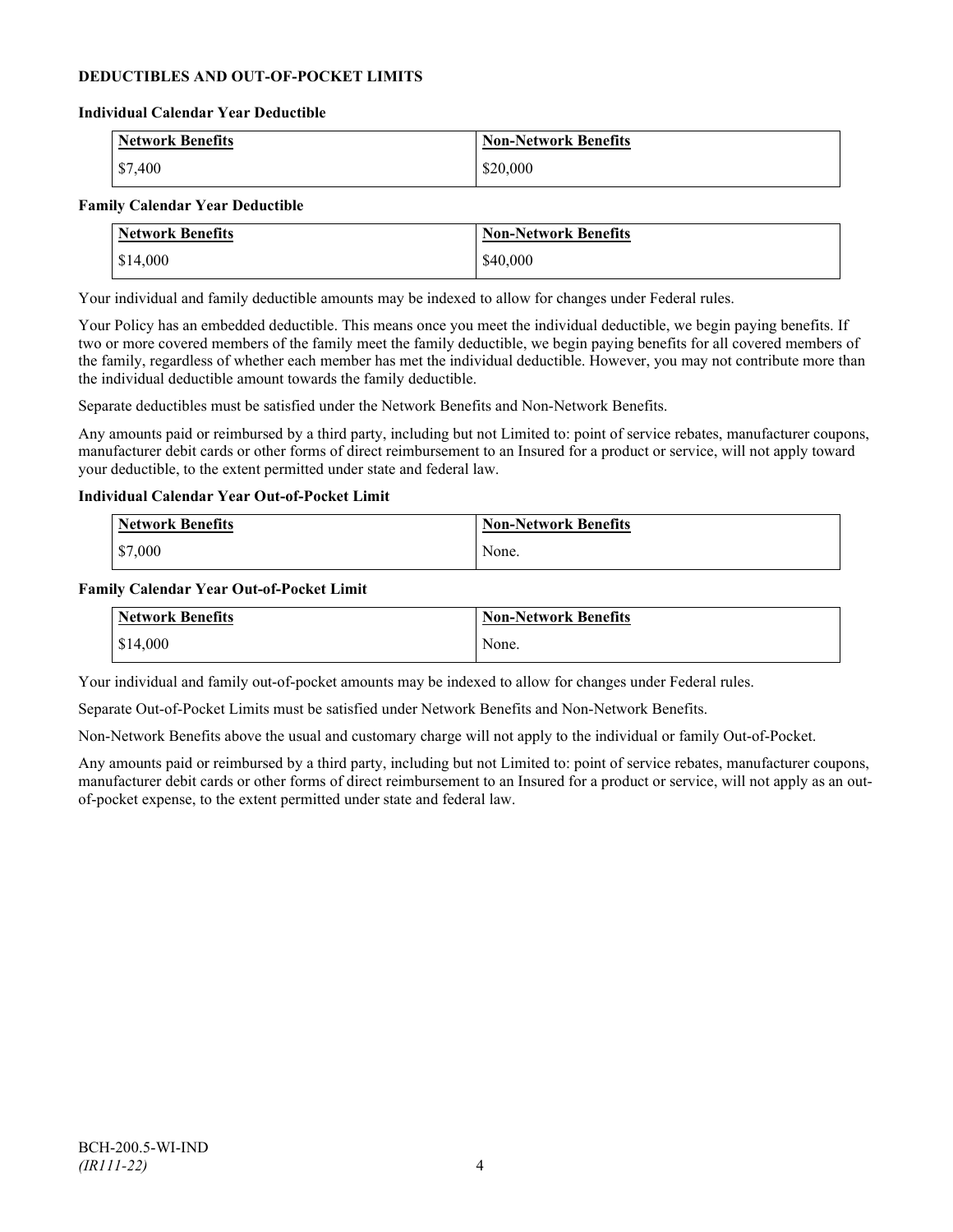## **DEDUCTIBLES AND OUT-OF-POCKET LIMITS**

#### **Individual Calendar Year Deductible**

| <b>Network Benefits</b> | <b>Non-Network Benefits</b> |
|-------------------------|-----------------------------|
| $\frac{$7,400}{}$       | \$20,000                    |

#### **Family Calendar Year Deductible**

| <b>Network Benefits</b> | <b>Non-Network Benefits</b> |
|-------------------------|-----------------------------|
| \$14,000                | \$40,000                    |

Your individual and family deductible amounts may be indexed to allow for changes under Federal rules.

Your Policy has an embedded deductible. This means once you meet the individual deductible, we begin paying benefits. If two or more covered members of the family meet the family deductible, we begin paying benefits for all covered members of the family, regardless of whether each member has met the individual deductible. However, you may not contribute more than the individual deductible amount towards the family deductible.

Separate deductibles must be satisfied under the Network Benefits and Non-Network Benefits.

Any amounts paid or reimbursed by a third party, including but not Limited to: point of service rebates, manufacturer coupons, manufacturer debit cards or other forms of direct reimbursement to an Insured for a product or service, will not apply toward your deductible, to the extent permitted under state and federal law.

#### **Individual Calendar Year Out-of-Pocket Limit**

| <b>Network Benefits</b> | <b>Non-Network Benefits</b> |
|-------------------------|-----------------------------|
| \$7,000                 | None.                       |

#### **Family Calendar Year Out-of-Pocket Limit**

| Network Benefits       | <b>Non-Network Benefits</b> |
|------------------------|-----------------------------|
| $\frac{1}{2}$ \$14,000 | None.                       |

Your individual and family out-of-pocket amounts may be indexed to allow for changes under Federal rules.

Separate Out-of-Pocket Limits must be satisfied under Network Benefits and Non-Network Benefits.

Non-Network Benefits above the usual and customary charge will not apply to the individual or family Out-of-Pocket.

Any amounts paid or reimbursed by a third party, including but not Limited to: point of service rebates, manufacturer coupons, manufacturer debit cards or other forms of direct reimbursement to an Insured for a product or service, will not apply as an outof-pocket expense, to the extent permitted under state and federal law.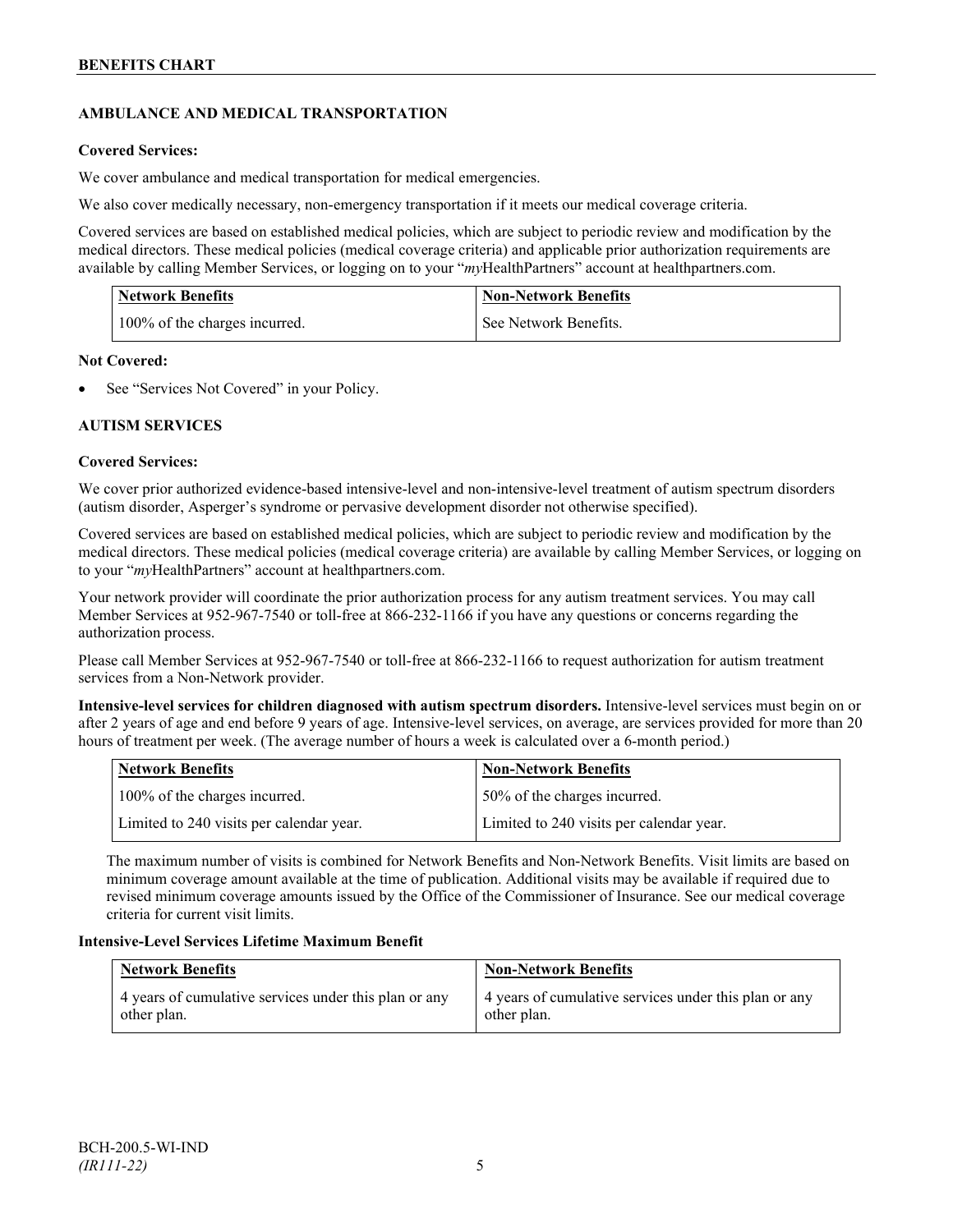## **AMBULANCE AND MEDICAL TRANSPORTATION**

## **Covered Services:**

We cover ambulance and medical transportation for medical emergencies.

We also cover medically necessary, non-emergency transportation if it meets our medical coverage criteria.

Covered services are based on established medical policies, which are subject to periodic review and modification by the medical directors. These medical policies (medical coverage criteria) and applicable prior authorization requirements are available by calling Member Services, or logging on to your "*my*HealthPartners" account a[t healthpartners.com.](http://www.healthpartners.com/)

| <b>Network Benefits</b>       | <b>Non-Network Benefits</b> |
|-------------------------------|-----------------------------|
| 100% of the charges incurred. | See Network Benefits.       |

## **Not Covered:**

See "Services Not Covered" in your Policy.

## **AUTISM SERVICES**

## **Covered Services:**

We cover prior authorized evidence-based intensive-level and non-intensive-level treatment of autism spectrum disorders (autism disorder, Asperger's syndrome or pervasive development disorder not otherwise specified).

Covered services are based on established medical policies, which are subject to periodic review and modification by the medical directors. These medical policies (medical coverage criteria) are available by calling Member Services, or logging on to your "*my*HealthPartners" account at [healthpartners.com.](http://www.healthpartners.com/)

Your network provider will coordinate the prior authorization process for any autism treatment services. You may call Member Services at 952-967-7540 or toll-free at 866-232-1166 if you have any questions or concerns regarding the authorization process.

Please call Member Services at 952-967-7540 or toll-free at 866-232-1166 to request authorization for autism treatment services from a Non-Network provider.

**Intensive-level services for children diagnosed with autism spectrum disorders.** Intensive-level services must begin on or after 2 years of age and end before 9 years of age. Intensive-level services, on average, are services provided for more than 20 hours of treatment per week. (The average number of hours a week is calculated over a 6-month period.)

| Network Benefits                         | <b>Non-Network Benefits</b>              |
|------------------------------------------|------------------------------------------|
| 100% of the charges incurred.            | 50% of the charges incurred.             |
| Limited to 240 visits per calendar year. | Limited to 240 visits per calendar year. |

The maximum number of visits is combined for Network Benefits and Non-Network Benefits. Visit limits are based on minimum coverage amount available at the time of publication. Additional visits may be available if required due to revised minimum coverage amounts issued by the Office of the Commissioner of Insurance. See our medical coverage criteria for current visit limits.

## **Intensive-Level Services Lifetime Maximum Benefit**

| <b>Network Benefits</b>                                              | <b>Non-Network Benefits</b>                                          |
|----------------------------------------------------------------------|----------------------------------------------------------------------|
| 4 years of cumulative services under this plan or any<br>other plan. | 4 years of cumulative services under this plan or any<br>other plan. |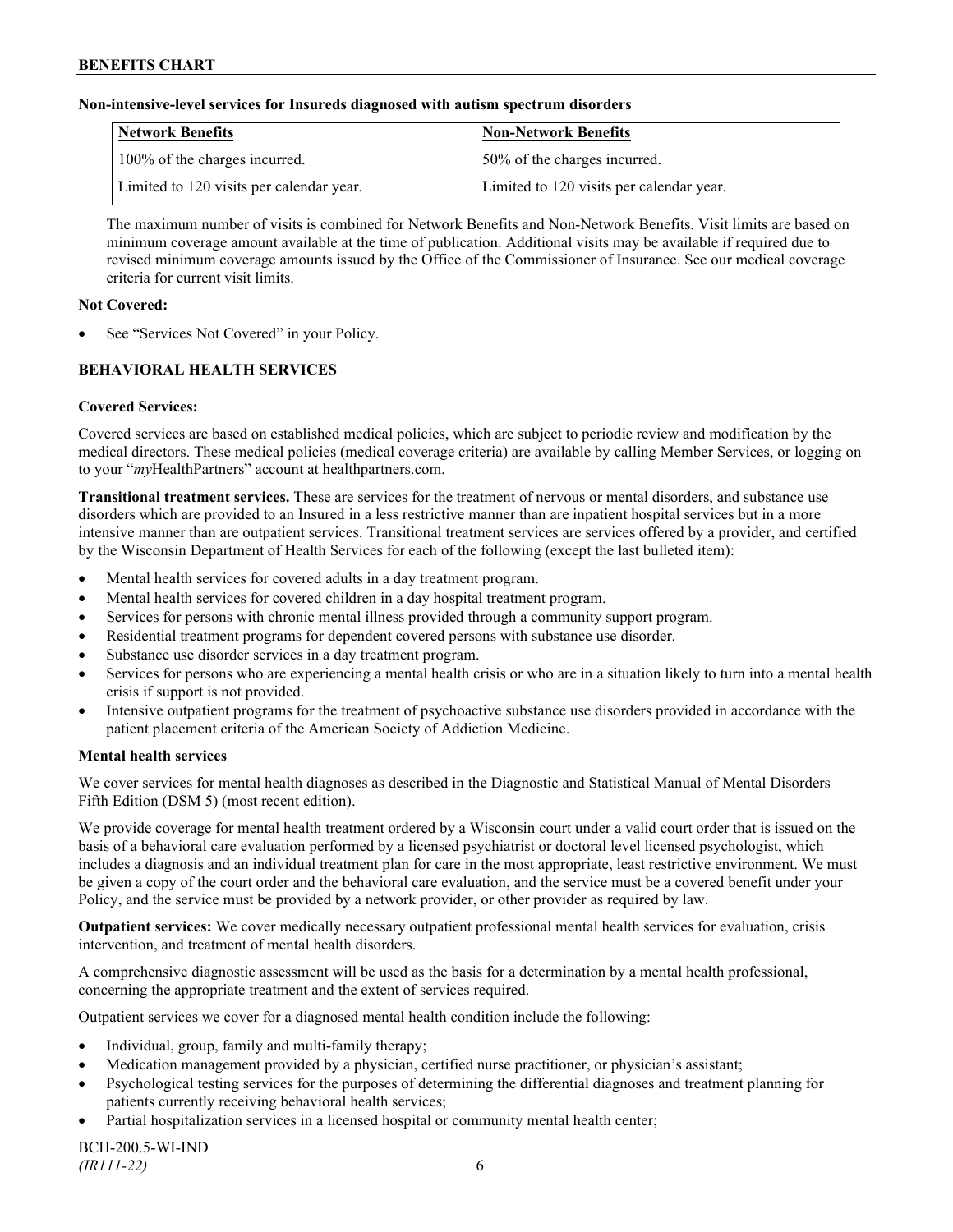### **Non-intensive-level services for Insureds diagnosed with autism spectrum disorders**

| Network Benefits                         | <b>Non-Network Benefits</b>              |
|------------------------------------------|------------------------------------------|
| 100% of the charges incurred.            | 50% of the charges incurred.             |
| Limited to 120 visits per calendar year. | Limited to 120 visits per calendar year. |

The maximum number of visits is combined for Network Benefits and Non-Network Benefits. Visit limits are based on minimum coverage amount available at the time of publication. Additional visits may be available if required due to revised minimum coverage amounts issued by the Office of the Commissioner of Insurance. See our medical coverage criteria for current visit limits.

### **Not Covered:**

See "Services Not Covered" in your Policy.

## **BEHAVIORAL HEALTH SERVICES**

## **Covered Services:**

Covered services are based on established medical policies, which are subject to periodic review and modification by the medical directors. These medical policies (medical coverage criteria) are available by calling Member Services, or logging on to your "*my*HealthPartners" account at [healthpartners.com.](http://www.healthpartners.com/)

**Transitional treatment services.** These are services for the treatment of nervous or mental disorders, and substance use disorders which are provided to an Insured in a less restrictive manner than are inpatient hospital services but in a more intensive manner than are outpatient services. Transitional treatment services are services offered by a provider, and certified by the Wisconsin Department of Health Services for each of the following (except the last bulleted item):

- Mental health services for covered adults in a day treatment program.
- Mental health services for covered children in a day hospital treatment program.
- Services for persons with chronic mental illness provided through a community support program.
- Residential treatment programs for dependent covered persons with substance use disorder.
- Substance use disorder services in a day treatment program.
- Services for persons who are experiencing a mental health crisis or who are in a situation likely to turn into a mental health crisis if support is not provided.
- Intensive outpatient programs for the treatment of psychoactive substance use disorders provided in accordance with the patient placement criteria of the American Society of Addiction Medicine.

## **Mental health services**

We cover services for mental health diagnoses as described in the Diagnostic and Statistical Manual of Mental Disorders – Fifth Edition (DSM 5) (most recent edition).

We provide coverage for mental health treatment ordered by a Wisconsin court under a valid court order that is issued on the basis of a behavioral care evaluation performed by a licensed psychiatrist or doctoral level licensed psychologist, which includes a diagnosis and an individual treatment plan for care in the most appropriate, least restrictive environment. We must be given a copy of the court order and the behavioral care evaluation, and the service must be a covered benefit under your Policy, and the service must be provided by a network provider, or other provider as required by law.

**Outpatient services:** We cover medically necessary outpatient professional mental health services for evaluation, crisis intervention, and treatment of mental health disorders.

A comprehensive diagnostic assessment will be used as the basis for a determination by a mental health professional, concerning the appropriate treatment and the extent of services required.

Outpatient services we cover for a diagnosed mental health condition include the following:

- Individual, group, family and multi-family therapy;
- Medication management provided by a physician, certified nurse practitioner, or physician's assistant;
- Psychological testing services for the purposes of determining the differential diagnoses and treatment planning for patients currently receiving behavioral health services;
- Partial hospitalization services in a licensed hospital or community mental health center;

BCH-200.5-WI-IND *(IR111-22)* 6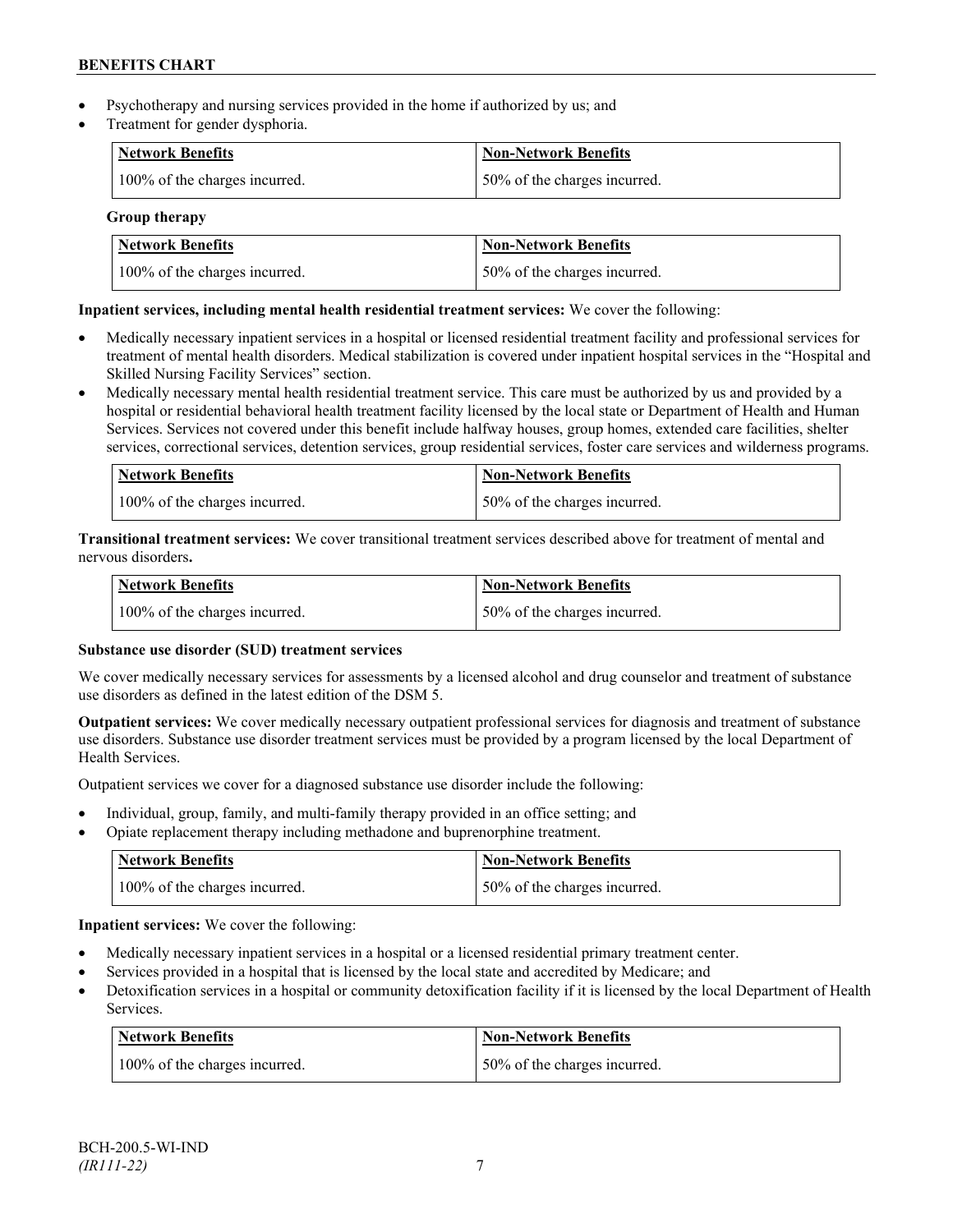- Psychotherapy and nursing services provided in the home if authorized by us; and
- Treatment for gender dysphoria.

| <b>Network Benefits</b>       | <b>Non-Network Benefits</b>  |
|-------------------------------|------------------------------|
| 100% of the charges incurred. | 50% of the charges incurred. |

## **Group therapy**

| <b>Network Benefits</b>       | <b>Non-Network Benefits</b>  |
|-------------------------------|------------------------------|
| 100% of the charges incurred. | 50% of the charges incurred. |

## **Inpatient services, including mental health residential treatment services:** We cover the following:

- Medically necessary inpatient services in a hospital or licensed residential treatment facility and professional services for treatment of mental health disorders. Medical stabilization is covered under inpatient hospital services in the "Hospital and Skilled Nursing Facility Services" section.
- Medically necessary mental health residential treatment service. This care must be authorized by us and provided by a hospital or residential behavioral health treatment facility licensed by the local state or Department of Health and Human Services. Services not covered under this benefit include halfway houses, group homes, extended care facilities, shelter services, correctional services, detention services, group residential services, foster care services and wilderness programs.

| Network Benefits              | <b>Non-Network Benefits</b>  |
|-------------------------------|------------------------------|
| 100% of the charges incurred. | 50% of the charges incurred. |

**Transitional treatment services:** We cover transitional treatment services described above for treatment of mental and nervous disorders**.**

| Network Benefits              | Non-Network Benefits         |
|-------------------------------|------------------------------|
| 100% of the charges incurred. | 50% of the charges incurred. |

## **Substance use disorder (SUD) treatment services**

We cover medically necessary services for assessments by a licensed alcohol and drug counselor and treatment of substance use disorders as defined in the latest edition of the DSM 5.

**Outpatient services:** We cover medically necessary outpatient professional services for diagnosis and treatment of substance use disorders. Substance use disorder treatment services must be provided by a program licensed by the local Department of Health Services.

Outpatient services we cover for a diagnosed substance use disorder include the following:

- Individual, group, family, and multi-family therapy provided in an office setting; and
- Opiate replacement therapy including methadone and buprenorphine treatment.

| <b>Network Benefits</b>       | <b>Non-Network Benefits</b>  |
|-------------------------------|------------------------------|
| 100% of the charges incurred. | 50% of the charges incurred. |

**Inpatient services:** We cover the following:

- Medically necessary inpatient services in a hospital or a licensed residential primary treatment center.
- Services provided in a hospital that is licensed by the local state and accredited by Medicare; and
- Detoxification services in a hospital or community detoxification facility if it is licensed by the local Department of Health Services.

| <b>Network Benefits</b>       | <b>Non-Network Benefits</b>  |
|-------------------------------|------------------------------|
| 100% of the charges incurred. | 50% of the charges incurred. |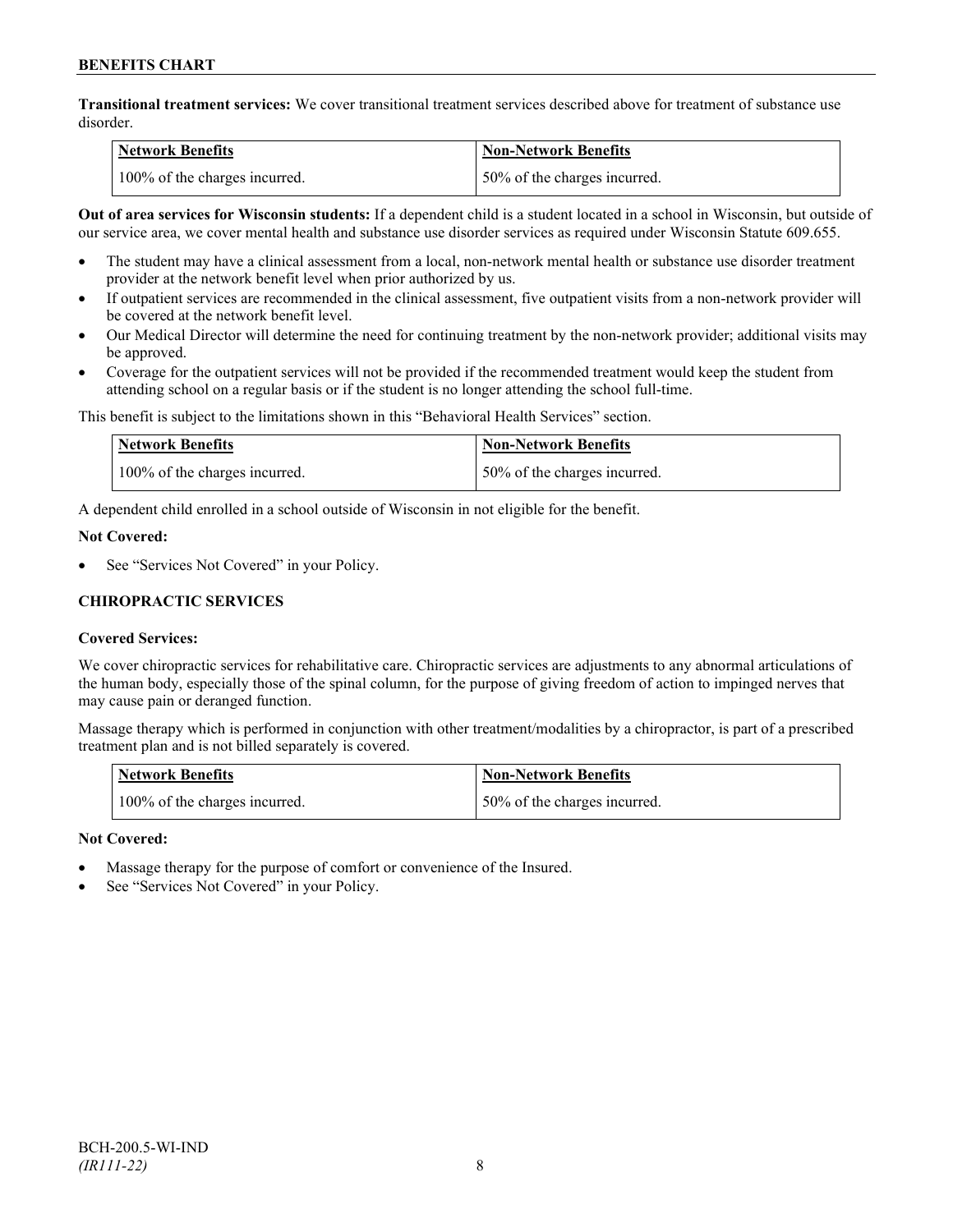**Transitional treatment services:** We cover transitional treatment services described above for treatment of substance use disorder.

| Network Benefits              | <b>Non-Network Benefits</b>  |
|-------------------------------|------------------------------|
| 100% of the charges incurred. | 50% of the charges incurred. |

**Out of area services for Wisconsin students:** If a dependent child is a student located in a school in Wisconsin, but outside of our service area, we cover mental health and substance use disorder services as required under Wisconsin Statute 609.655.

- The student may have a clinical assessment from a local, non-network mental health or substance use disorder treatment provider at the network benefit level when prior authorized by us.
- If outpatient services are recommended in the clinical assessment, five outpatient visits from a non-network provider will be covered at the network benefit level.
- Our Medical Director will determine the need for continuing treatment by the non-network provider; additional visits may be approved.
- Coverage for the outpatient services will not be provided if the recommended treatment would keep the student from attending school on a regular basis or if the student is no longer attending the school full-time.

This benefit is subject to the limitations shown in this "Behavioral Health Services" section.

| Network Benefits              | Non-Network Benefits         |
|-------------------------------|------------------------------|
| 100% of the charges incurred. | 50% of the charges incurred. |

A dependent child enrolled in a school outside of Wisconsin in not eligible for the benefit.

#### **Not Covered:**

See "Services Not Covered" in your Policy.

## **CHIROPRACTIC SERVICES**

## **Covered Services:**

We cover chiropractic services for rehabilitative care. Chiropractic services are adjustments to any abnormal articulations of the human body, especially those of the spinal column, for the purpose of giving freedom of action to impinged nerves that may cause pain or deranged function.

Massage therapy which is performed in conjunction with other treatment/modalities by a chiropractor, is part of a prescribed treatment plan and is not billed separately is covered.

| <b>Network Benefits</b>       | Non-Network Benefits         |
|-------------------------------|------------------------------|
| 100% of the charges incurred. | 50% of the charges incurred. |

## **Not Covered:**

- Massage therapy for the purpose of comfort or convenience of the Insured.
- See "Services Not Covered" in your Policy.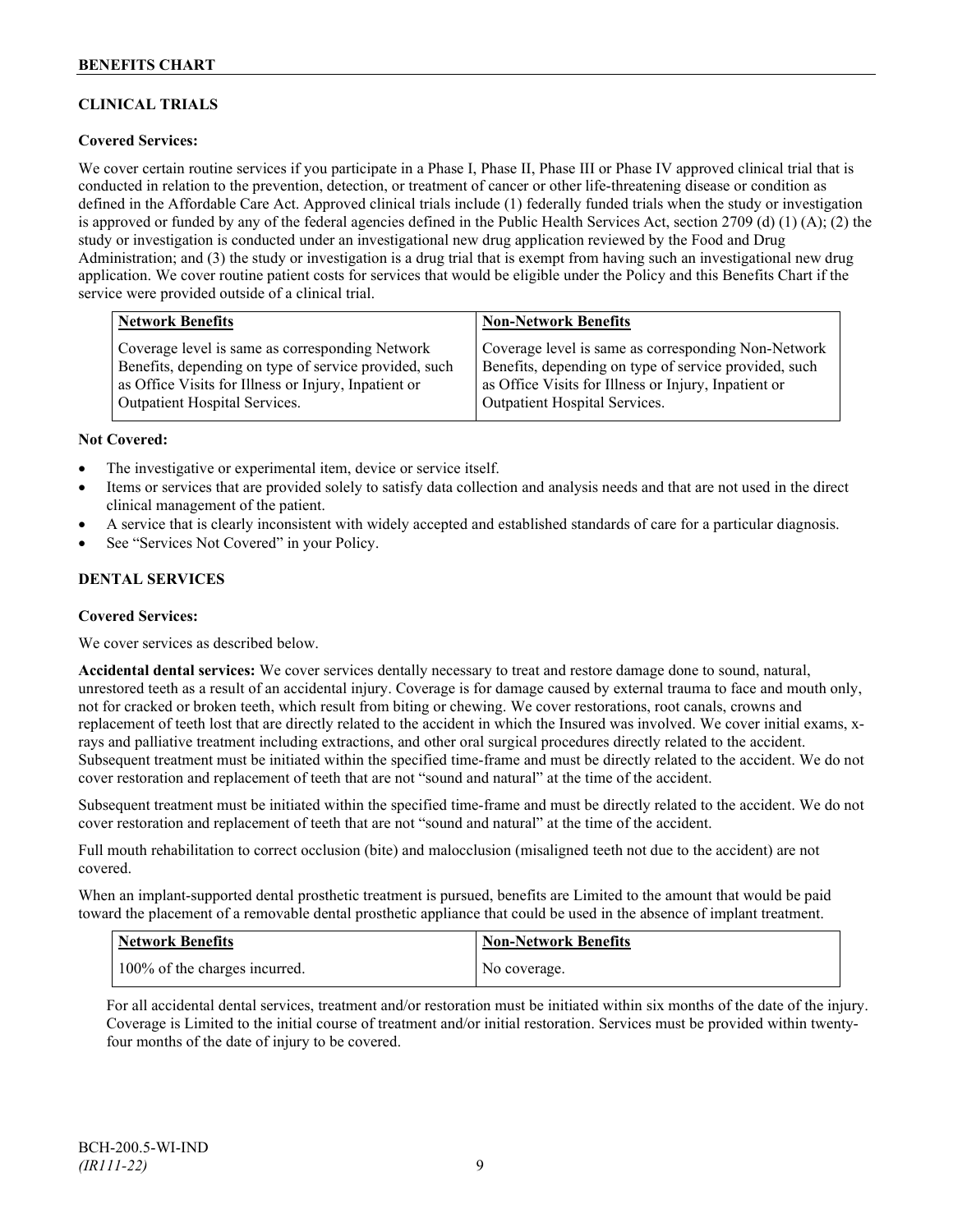## **CLINICAL TRIALS**

## **Covered Services:**

We cover certain routine services if you participate in a Phase I, Phase II, Phase III or Phase IV approved clinical trial that is conducted in relation to the prevention, detection, or treatment of cancer or other life-threatening disease or condition as defined in the Affordable Care Act. Approved clinical trials include (1) federally funded trials when the study or investigation is approved or funded by any of the federal agencies defined in the Public Health Services Act, section 2709 (d) (1) (A); (2) the study or investigation is conducted under an investigational new drug application reviewed by the Food and Drug Administration; and (3) the study or investigation is a drug trial that is exempt from having such an investigational new drug application. We cover routine patient costs for services that would be eligible under the Policy and this Benefits Chart if the service were provided outside of a clinical trial.

| <b>Network Benefits</b>                               | <b>Non-Network Benefits</b>                           |
|-------------------------------------------------------|-------------------------------------------------------|
| Coverage level is same as corresponding Network       | Coverage level is same as corresponding Non-Network   |
| Benefits, depending on type of service provided, such | Benefits, depending on type of service provided, such |
| as Office Visits for Illness or Injury, Inpatient or  | as Office Visits for Illness or Injury, Inpatient or  |
| <b>Outpatient Hospital Services.</b>                  | Outpatient Hospital Services.                         |

#### **Not Covered:**

- The investigative or experimental item, device or service itself.
- Items or services that are provided solely to satisfy data collection and analysis needs and that are not used in the direct clinical management of the patient.
- A service that is clearly inconsistent with widely accepted and established standards of care for a particular diagnosis.
- See "Services Not Covered" in your Policy.

## **DENTAL SERVICES**

#### **Covered Services:**

We cover services as described below.

**Accidental dental services:** We cover services dentally necessary to treat and restore damage done to sound, natural, unrestored teeth as a result of an accidental injury. Coverage is for damage caused by external trauma to face and mouth only, not for cracked or broken teeth, which result from biting or chewing. We cover restorations, root canals, crowns and replacement of teeth lost that are directly related to the accident in which the Insured was involved. We cover initial exams, xrays and palliative treatment including extractions, and other oral surgical procedures directly related to the accident. Subsequent treatment must be initiated within the specified time-frame and must be directly related to the accident. We do not cover restoration and replacement of teeth that are not "sound and natural" at the time of the accident.

Subsequent treatment must be initiated within the specified time-frame and must be directly related to the accident. We do not cover restoration and replacement of teeth that are not "sound and natural" at the time of the accident.

Full mouth rehabilitation to correct occlusion (bite) and malocclusion (misaligned teeth not due to the accident) are not covered.

When an implant-supported dental prosthetic treatment is pursued, benefits are Limited to the amount that would be paid toward the placement of a removable dental prosthetic appliance that could be used in the absence of implant treatment.

| <b>Network Benefits</b>       | <b>Non-Network Benefits</b> |
|-------------------------------|-----------------------------|
| 100% of the charges incurred. | No coverage.                |

For all accidental dental services, treatment and/or restoration must be initiated within six months of the date of the injury. Coverage is Limited to the initial course of treatment and/or initial restoration. Services must be provided within twentyfour months of the date of injury to be covered.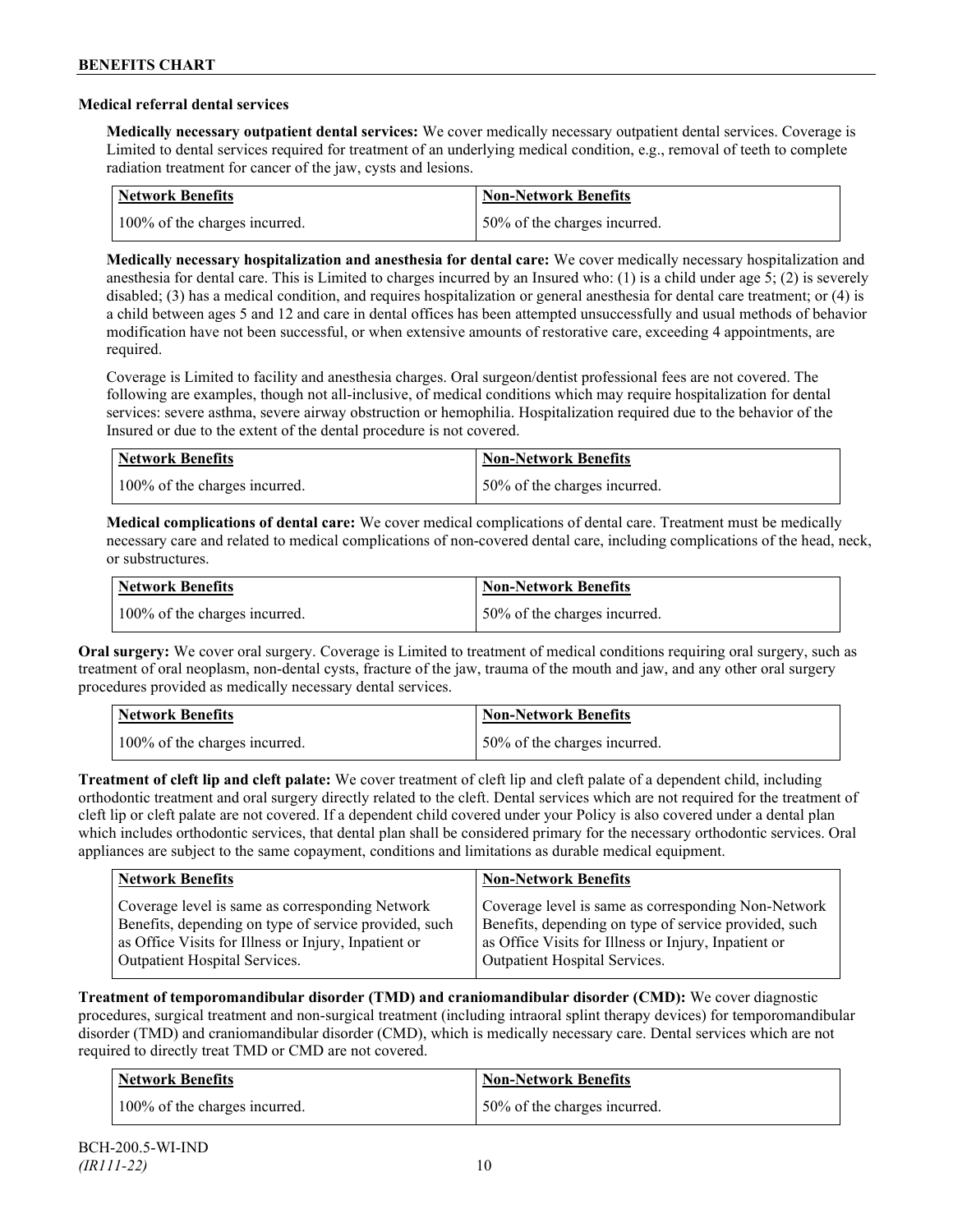### **Medical referral dental services**

**Medically necessary outpatient dental services:** We cover medically necessary outpatient dental services. Coverage is Limited to dental services required for treatment of an underlying medical condition, e.g., removal of teeth to complete radiation treatment for cancer of the jaw, cysts and lesions.

| Network Benefits              | <b>Non-Network Benefits</b>  |
|-------------------------------|------------------------------|
| 100% of the charges incurred. | 50% of the charges incurred. |

**Medically necessary hospitalization and anesthesia for dental care:** We cover medically necessary hospitalization and anesthesia for dental care. This is Limited to charges incurred by an Insured who: (1) is a child under age 5; (2) is severely disabled; (3) has a medical condition, and requires hospitalization or general anesthesia for dental care treatment; or (4) is a child between ages 5 and 12 and care in dental offices has been attempted unsuccessfully and usual methods of behavior modification have not been successful, or when extensive amounts of restorative care, exceeding 4 appointments, are required.

Coverage is Limited to facility and anesthesia charges. Oral surgeon/dentist professional fees are not covered. The following are examples, though not all-inclusive, of medical conditions which may require hospitalization for dental services: severe asthma, severe airway obstruction or hemophilia. Hospitalization required due to the behavior of the Insured or due to the extent of the dental procedure is not covered.

| Network Benefits              | <b>Non-Network Benefits</b>  |
|-------------------------------|------------------------------|
| 100% of the charges incurred. | 50% of the charges incurred. |

**Medical complications of dental care:** We cover medical complications of dental care. Treatment must be medically necessary care and related to medical complications of non-covered dental care, including complications of the head, neck, or substructures.

| Network Benefits              | <b>Non-Network Benefits</b>  |
|-------------------------------|------------------------------|
| 100% of the charges incurred. | 50% of the charges incurred. |

**Oral surgery:** We cover oral surgery. Coverage is Limited to treatment of medical conditions requiring oral surgery, such as treatment of oral neoplasm, non-dental cysts, fracture of the jaw, trauma of the mouth and jaw, and any other oral surgery procedures provided as medically necessary dental services.

| <b>Network Benefits</b>       | <b>Non-Network Benefits</b>  |
|-------------------------------|------------------------------|
| 100% of the charges incurred. | 50% of the charges incurred. |

**Treatment of cleft lip and cleft palate:** We cover treatment of cleft lip and cleft palate of a dependent child, including orthodontic treatment and oral surgery directly related to the cleft. Dental services which are not required for the treatment of cleft lip or cleft palate are not covered. If a dependent child covered under your Policy is also covered under a dental plan which includes orthodontic services, that dental plan shall be considered primary for the necessary orthodontic services. Oral appliances are subject to the same copayment, conditions and limitations as durable medical equipment.

| <b>Network Benefits</b>                               | <b>Non-Network Benefits</b>                           |
|-------------------------------------------------------|-------------------------------------------------------|
| Coverage level is same as corresponding Network       | Coverage level is same as corresponding Non-Network   |
| Benefits, depending on type of service provided, such | Benefits, depending on type of service provided, such |
| as Office Visits for Illness or Injury, Inpatient or  | as Office Visits for Illness or Injury, Inpatient or  |
| Outpatient Hospital Services.                         | Outpatient Hospital Services.                         |

**Treatment of temporomandibular disorder (TMD) and craniomandibular disorder (CMD):** We cover diagnostic procedures, surgical treatment and non-surgical treatment (including intraoral splint therapy devices) for temporomandibular disorder (TMD) and craniomandibular disorder (CMD), which is medically necessary care. Dental services which are not required to directly treat TMD or CMD are not covered.

| <b>Network Benefits</b>       | <b>Non-Network Benefits</b>  |
|-------------------------------|------------------------------|
| 100% of the charges incurred. | 50% of the charges incurred. |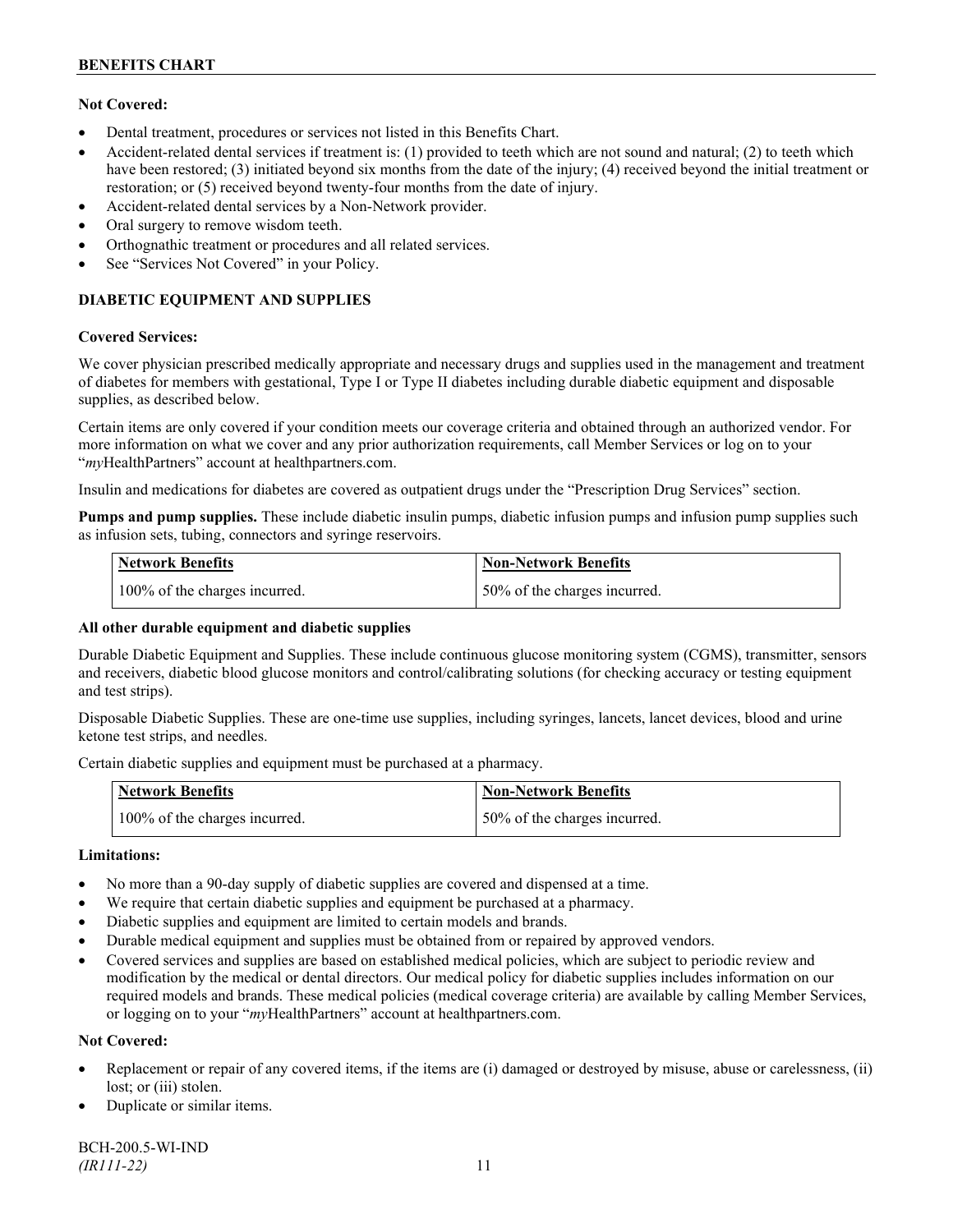## **Not Covered:**

- Dental treatment, procedures or services not listed in this Benefits Chart.
- Accident-related dental services if treatment is: (1) provided to teeth which are not sound and natural; (2) to teeth which have been restored; (3) initiated beyond six months from the date of the injury; (4) received beyond the initial treatment or restoration; or (5) received beyond twenty-four months from the date of injury.
- Accident-related dental services by a Non-Network provider.
- Oral surgery to remove wisdom teeth.
- Orthognathic treatment or procedures and all related services.
- See "Services Not Covered" in your Policy.

## **DIABETIC EQUIPMENT AND SUPPLIES**

#### **Covered Services:**

We cover physician prescribed medically appropriate and necessary drugs and supplies used in the management and treatment of diabetes for members with gestational, Type I or Type II diabetes including durable diabetic equipment and disposable supplies, as described below.

Certain items are only covered if your condition meets our coverage criteria and obtained through an authorized vendor. For more information on what we cover and any prior authorization requirements, call Member Services or log on to your "*my*HealthPartners" account at [healthpartners.com.](http://www.healthpartners.com/)

Insulin and medications for diabetes are covered as outpatient drugs under the "Prescription Drug Services" section.

**Pumps and pump supplies.** These include diabetic insulin pumps, diabetic infusion pumps and infusion pump supplies such as infusion sets, tubing, connectors and syringe reservoirs.

| <b>Network Benefits</b>       | <b>Non-Network Benefits</b>      |
|-------------------------------|----------------------------------|
| 100% of the charges incurred. | $150\%$ of the charges incurred. |

## **All other durable equipment and diabetic supplies**

Durable Diabetic Equipment and Supplies. These include continuous glucose monitoring system (CGMS), transmitter, sensors and receivers, diabetic blood glucose monitors and control/calibrating solutions (for checking accuracy or testing equipment and test strips).

Disposable Diabetic Supplies. These are one-time use supplies, including syringes, lancets, lancet devices, blood and urine ketone test strips, and needles.

Certain diabetic supplies and equipment must be purchased at a pharmacy.

| <b>Network Benefits</b>       | <b>Non-Network Benefits</b>  |
|-------------------------------|------------------------------|
| 100% of the charges incurred. | 50% of the charges incurred. |

## **Limitations:**

- No more than a 90-day supply of diabetic supplies are covered and dispensed at a time.
- We require that certain diabetic supplies and equipment be purchased at a pharmacy.
- Diabetic supplies and equipment are limited to certain models and brands.
- Durable medical equipment and supplies must be obtained from or repaired by approved vendors.
- Covered services and supplies are based on established medical policies, which are subject to periodic review and modification by the medical or dental directors. Our medical policy for diabetic supplies includes information on our required models and brands. These medical policies (medical coverage criteria) are available by calling Member Services, or logging on to your "*my*HealthPartners" account at healthpartners.com.

## **Not Covered:**

- Replacement or repair of any covered items, if the items are (i) damaged or destroyed by misuse, abuse or carelessness, (ii) lost; or (iii) stolen.
- Duplicate or similar items.

BCH-200.5-WI-IND *(IR111-22)* 11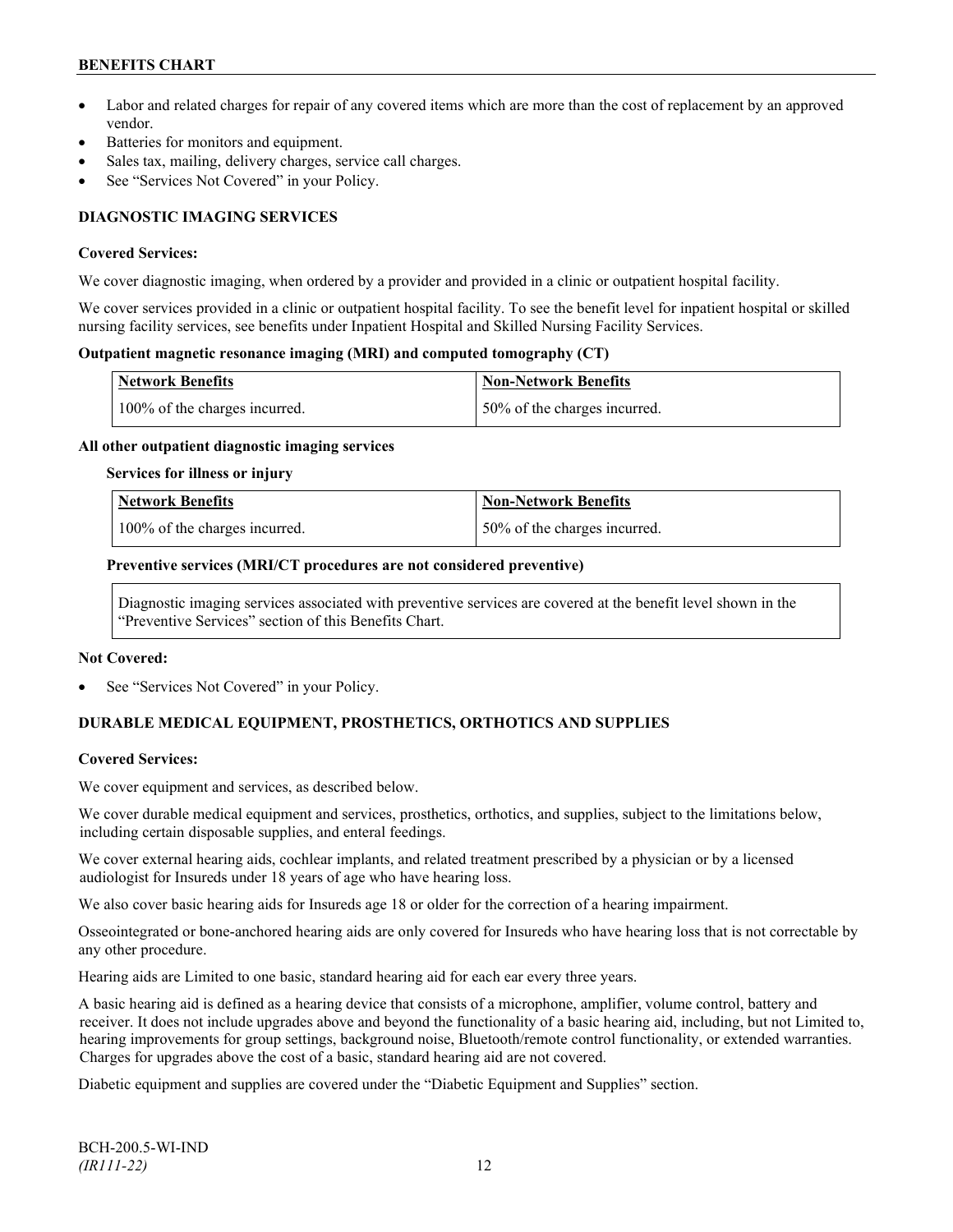- Labor and related charges for repair of any covered items which are more than the cost of replacement by an approved vendor.
- Batteries for monitors and equipment.
- Sales tax, mailing, delivery charges, service call charges.
- See "Services Not Covered" in your Policy.

## **DIAGNOSTIC IMAGING SERVICES**

#### **Covered Services:**

We cover diagnostic imaging, when ordered by a provider and provided in a clinic or outpatient hospital facility.

We cover services provided in a clinic or outpatient hospital facility. To see the benefit level for inpatient hospital or skilled nursing facility services, see benefits under Inpatient Hospital and Skilled Nursing Facility Services.

### **Outpatient magnetic resonance imaging (MRI) and computed tomography (CT)**

| <b>Network Benefits</b>       | Non-Network Benefits         |
|-------------------------------|------------------------------|
| 100% of the charges incurred. | 50% of the charges incurred. |

#### **All other outpatient diagnostic imaging services**

#### **Services for illness or injury**

| Network Benefits              | <b>Non-Network Benefits</b>  |
|-------------------------------|------------------------------|
| 100% of the charges incurred. | 50% of the charges incurred. |

#### **Preventive services (MRI/CT procedures are not considered preventive)**

Diagnostic imaging services associated with preventive services are covered at the benefit level shown in the "Preventive Services" section of this Benefits Chart.

#### **Not Covered:**

See "Services Not Covered" in your Policy.

## **DURABLE MEDICAL EQUIPMENT, PROSTHETICS, ORTHOTICS AND SUPPLIES**

## **Covered Services:**

We cover equipment and services, as described below.

We cover durable medical equipment and services, prosthetics, orthotics, and supplies, subject to the limitations below, including certain disposable supplies, and enteral feedings.

We cover external hearing aids, cochlear implants, and related treatment prescribed by a physician or by a licensed audiologist for Insureds under 18 years of age who have hearing loss.

We also cover basic hearing aids for Insureds age 18 or older for the correction of a hearing impairment.

Osseointegrated or bone-anchored hearing aids are only covered for Insureds who have hearing loss that is not correctable by any other procedure.

Hearing aids are Limited to one basic, standard hearing aid for each ear every three years.

A basic hearing aid is defined as a hearing device that consists of a microphone, amplifier, volume control, battery and receiver. It does not include upgrades above and beyond the functionality of a basic hearing aid, including, but not Limited to, hearing improvements for group settings, background noise, Bluetooth/remote control functionality, or extended warranties. Charges for upgrades above the cost of a basic, standard hearing aid are not covered.

Diabetic equipment and supplies are covered under the "Diabetic Equipment and Supplies" section.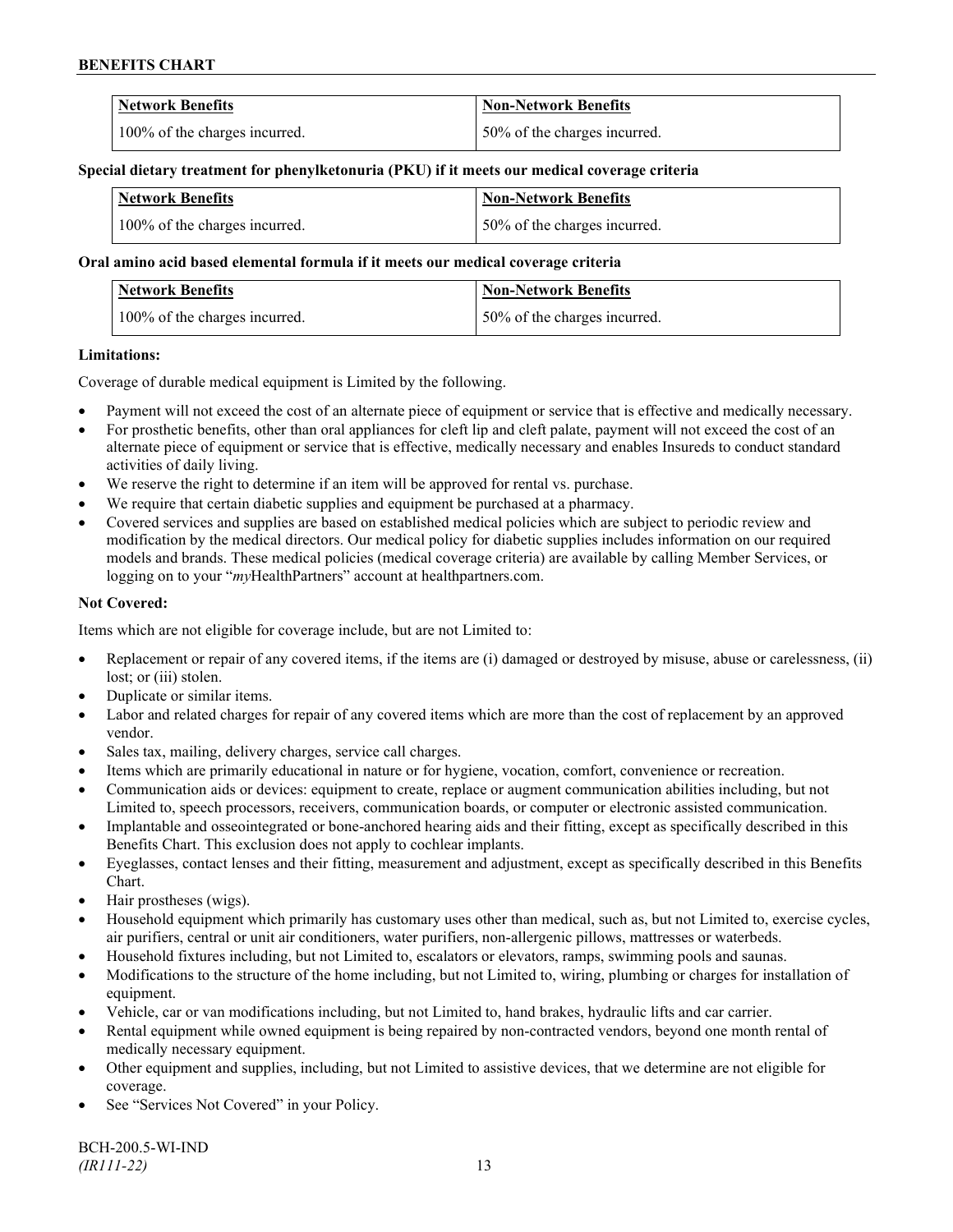| <b>Network Benefits</b>       | <b>Non-Network Benefits</b>  |
|-------------------------------|------------------------------|
| 100% of the charges incurred. | 50% of the charges incurred. |

#### **Special dietary treatment for phenylketonuria (PKU) if it meets our medical coverage criteria**

| <b>Network Benefits</b>       | <b>Non-Network Benefits</b>   |
|-------------------------------|-------------------------------|
| 100% of the charges incurred. | 150% of the charges incurred. |

### **Oral amino acid based elemental formula if it meets our medical coverage criteria**

| <b>Network Benefits</b>       | <b>Non-Network Benefits</b>  |
|-------------------------------|------------------------------|
| 100% of the charges incurred. | 50% of the charges incurred. |

#### **Limitations:**

Coverage of durable medical equipment is Limited by the following.

- Payment will not exceed the cost of an alternate piece of equipment or service that is effective and medically necessary.
- For prosthetic benefits, other than oral appliances for cleft lip and cleft palate, payment will not exceed the cost of an alternate piece of equipment or service that is effective, medically necessary and enables Insureds to conduct standard activities of daily living.
- We reserve the right to determine if an item will be approved for rental vs. purchase.
- We require that certain diabetic supplies and equipment be purchased at a pharmacy.
- Covered services and supplies are based on established medical policies which are subject to periodic review and modification by the medical directors. Our medical policy for diabetic supplies includes information on our required models and brands. These medical policies (medical coverage criteria) are available by calling Member Services, or logging on to your "*my*HealthPartners" account at [healthpartners.com.](http://www.healthpartners.com/)

## **Not Covered:**

Items which are not eligible for coverage include, but are not Limited to:

- Replacement or repair of any covered items, if the items are (i) damaged or destroyed by misuse, abuse or carelessness, (ii) lost; or (iii) stolen.
- Duplicate or similar items.
- Labor and related charges for repair of any covered items which are more than the cost of replacement by an approved vendor.
- Sales tax, mailing, delivery charges, service call charges.
- Items which are primarily educational in nature or for hygiene, vocation, comfort, convenience or recreation.
- Communication aids or devices: equipment to create, replace or augment communication abilities including, but not Limited to, speech processors, receivers, communication boards, or computer or electronic assisted communication.
- Implantable and osseointegrated or bone-anchored hearing aids and their fitting, except as specifically described in this Benefits Chart. This exclusion does not apply to cochlear implants.
- Eyeglasses, contact lenses and their fitting, measurement and adjustment, except as specifically described in this Benefits Chart.
- Hair prostheses (wigs).
- Household equipment which primarily has customary uses other than medical, such as, but not Limited to, exercise cycles, air purifiers, central or unit air conditioners, water purifiers, non-allergenic pillows, mattresses or waterbeds.
- Household fixtures including, but not Limited to, escalators or elevators, ramps, swimming pools and saunas.
- Modifications to the structure of the home including, but not Limited to, wiring, plumbing or charges for installation of equipment.
- Vehicle, car or van modifications including, but not Limited to, hand brakes, hydraulic lifts and car carrier.
- Rental equipment while owned equipment is being repaired by non-contracted vendors, beyond one month rental of medically necessary equipment.
- Other equipment and supplies, including, but not Limited to assistive devices, that we determine are not eligible for coverage.
- See "Services Not Covered" in your Policy.

BCH-200.5-WI-IND *(IR111-22)* 13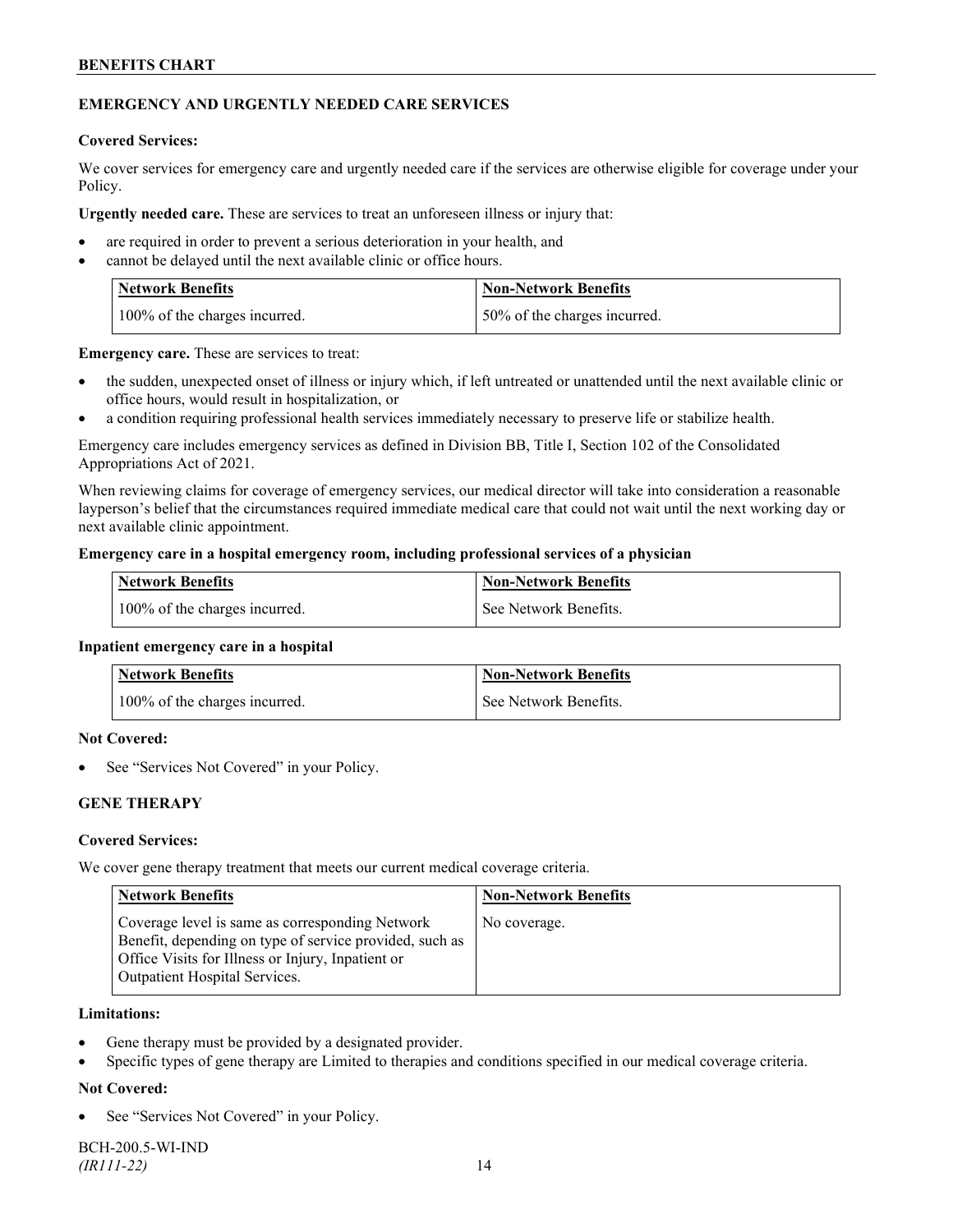## **EMERGENCY AND URGENTLY NEEDED CARE SERVICES**

#### **Covered Services:**

We cover services for emergency care and urgently needed care if the services are otherwise eligible for coverage under your Policy.

**Urgently needed care.** These are services to treat an unforeseen illness or injury that:

- are required in order to prevent a serious deterioration in your health, and
- cannot be delayed until the next available clinic or office hours.

| <b>Network Benefits</b>       | <b>Non-Network Benefits</b>  |
|-------------------------------|------------------------------|
| 100% of the charges incurred. | 50% of the charges incurred. |

**Emergency care.** These are services to treat:

- the sudden, unexpected onset of illness or injury which, if left untreated or unattended until the next available clinic or office hours, would result in hospitalization, or
- a condition requiring professional health services immediately necessary to preserve life or stabilize health.

Emergency care includes emergency services as defined in Division BB, Title I, Section 102 of the Consolidated Appropriations Act of 2021.

When reviewing claims for coverage of emergency services, our medical director will take into consideration a reasonable layperson's belief that the circumstances required immediate medical care that could not wait until the next working day or next available clinic appointment.

#### **Emergency care in a hospital emergency room, including professional services of a physician**

| <b>Network Benefits</b>       | <b>Non-Network Benefits</b> |
|-------------------------------|-----------------------------|
| 100% of the charges incurred. | See Network Benefits.       |

#### **Inpatient emergency care in a hospital**

| Network Benefits              | <b>Non-Network Benefits</b> |
|-------------------------------|-----------------------------|
| 100% of the charges incurred. | See Network Benefits.       |

#### **Not Covered:**

See "Services Not Covered" in your Policy.

## **GENE THERAPY**

#### **Covered Services:**

We cover gene therapy treatment that meets our current medical coverage criteria.

| <b>Network Benefits</b>                                                                                                                                                                          | <b>Non-Network Benefits</b> |
|--------------------------------------------------------------------------------------------------------------------------------------------------------------------------------------------------|-----------------------------|
| Coverage level is same as corresponding Network<br>Benefit, depending on type of service provided, such as<br>Office Visits for Illness or Injury, Inpatient or<br>Outpatient Hospital Services. | No coverage.                |

#### **Limitations:**

- Gene therapy must be provided by a designated provider.
- Specific types of gene therapy are Limited to therapies and conditions specified in our medical coverage criteria.

## **Not Covered:**

See "Services Not Covered" in your Policy.

BCH-200.5-WI-IND *(IR111-22)* 14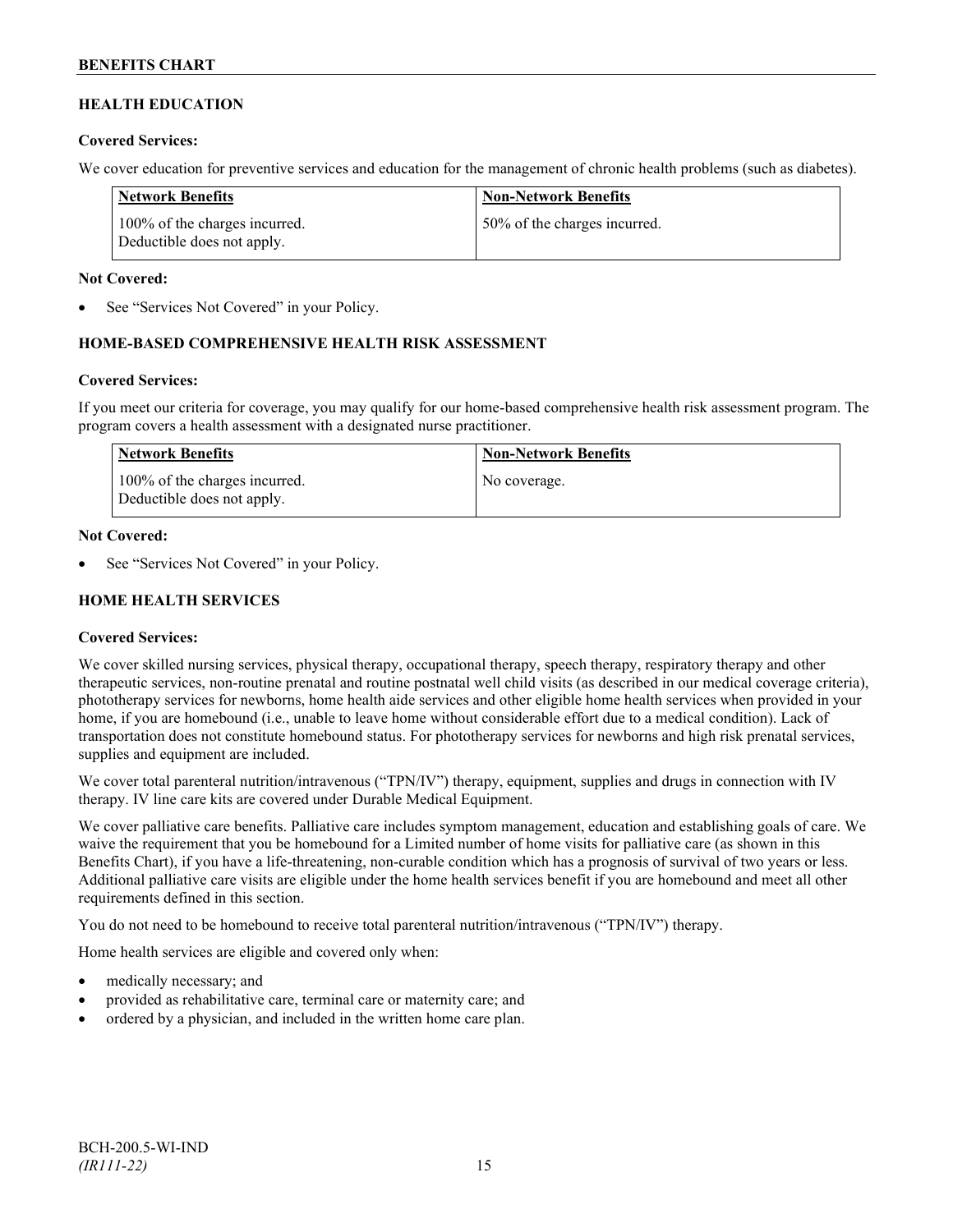## **HEALTH EDUCATION**

### **Covered Services:**

We cover education for preventive services and education for the management of chronic health problems (such as diabetes).

| Network Benefits                                            | <b>Non-Network Benefits</b>  |
|-------------------------------------------------------------|------------------------------|
| 100% of the charges incurred.<br>Deductible does not apply. | 50% of the charges incurred. |

### **Not Covered:**

See "Services Not Covered" in your Policy.

## **HOME-BASED COMPREHENSIVE HEALTH RISK ASSESSMENT**

#### **Covered Services:**

If you meet our criteria for coverage, you may qualify for our home-based comprehensive health risk assessment program. The program covers a health assessment with a designated nurse practitioner.

| Network Benefits                                            | <b>Non-Network Benefits</b> |
|-------------------------------------------------------------|-----------------------------|
| 100% of the charges incurred.<br>Deductible does not apply. | No coverage.                |

#### **Not Covered:**

See "Services Not Covered" in your Policy.

## **HOME HEALTH SERVICES**

## **Covered Services:**

We cover skilled nursing services, physical therapy, occupational therapy, speech therapy, respiratory therapy and other therapeutic services, non-routine prenatal and routine postnatal well child visits (as described in our medical coverage criteria), phototherapy services for newborns, home health aide services and other eligible home health services when provided in your home, if you are homebound (i.e., unable to leave home without considerable effort due to a medical condition). Lack of transportation does not constitute homebound status. For phototherapy services for newborns and high risk prenatal services, supplies and equipment are included.

We cover total parenteral nutrition/intravenous ("TPN/IV") therapy, equipment, supplies and drugs in connection with IV therapy. IV line care kits are covered under Durable Medical Equipment.

We cover palliative care benefits. Palliative care includes symptom management, education and establishing goals of care. We waive the requirement that you be homebound for a Limited number of home visits for palliative care (as shown in this Benefits Chart), if you have a life-threatening, non-curable condition which has a prognosis of survival of two years or less. Additional palliative care visits are eligible under the home health services benefit if you are homebound and meet all other requirements defined in this section.

You do not need to be homebound to receive total parenteral nutrition/intravenous ("TPN/IV") therapy.

Home health services are eligible and covered only when:

- medically necessary; and
- provided as rehabilitative care, terminal care or maternity care; and
- ordered by a physician, and included in the written home care plan.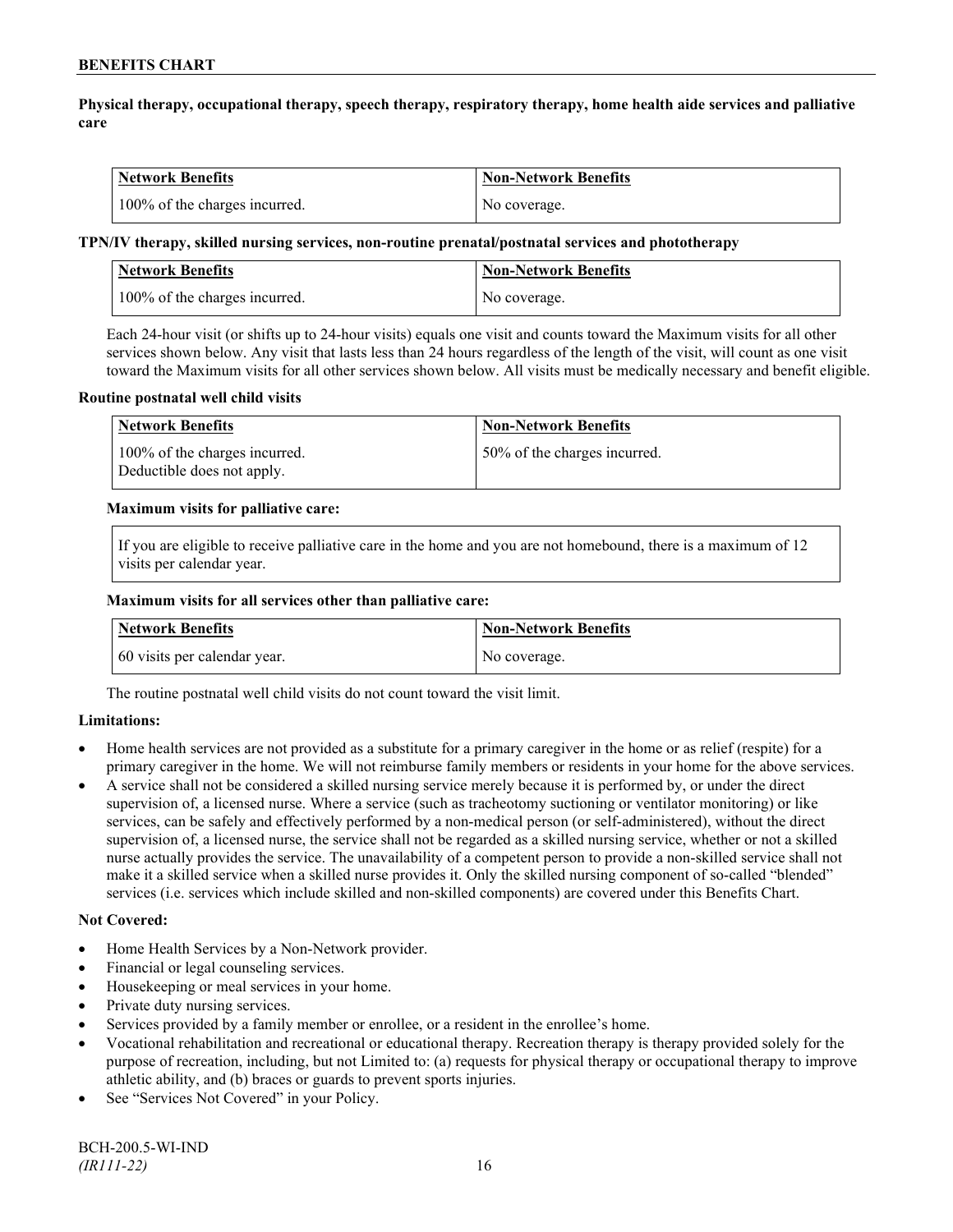## **Physical therapy, occupational therapy, speech therapy, respiratory therapy, home health aide services and palliative care**

| Network Benefits              | <b>Non-Network Benefits</b> |
|-------------------------------|-----------------------------|
| 100% of the charges incurred. | No coverage.                |

### **TPN/IV therapy, skilled nursing services, non-routine prenatal/postnatal services and phototherapy**

| Network Benefits              | <b>Non-Network Benefits</b> |
|-------------------------------|-----------------------------|
| 100% of the charges incurred. | No coverage.                |

Each 24-hour visit (or shifts up to 24-hour visits) equals one visit and counts toward the Maximum visits for all other services shown below. Any visit that lasts less than 24 hours regardless of the length of the visit, will count as one visit toward the Maximum visits for all other services shown below. All visits must be medically necessary and benefit eligible.

#### **Routine postnatal well child visits**

| <b>Network Benefits</b>                                     | <b>Non-Network Benefits</b>  |
|-------------------------------------------------------------|------------------------------|
| 100% of the charges incurred.<br>Deductible does not apply. | 50% of the charges incurred. |

#### **Maximum visits for palliative care:**

If you are eligible to receive palliative care in the home and you are not homebound, there is a maximum of 12 visits per calendar year.

#### **Maximum visits for all services other than palliative care:**

| Network Benefits             | Non-Network Benefits |
|------------------------------|----------------------|
| 60 visits per calendar year. | No coverage.         |

The routine postnatal well child visits do not count toward the visit limit.

## **Limitations:**

- Home health services are not provided as a substitute for a primary caregiver in the home or as relief (respite) for a primary caregiver in the home. We will not reimburse family members or residents in your home for the above services.
- A service shall not be considered a skilled nursing service merely because it is performed by, or under the direct supervision of, a licensed nurse. Where a service (such as tracheotomy suctioning or ventilator monitoring) or like services, can be safely and effectively performed by a non-medical person (or self-administered), without the direct supervision of, a licensed nurse, the service shall not be regarded as a skilled nursing service, whether or not a skilled nurse actually provides the service. The unavailability of a competent person to provide a non-skilled service shall not make it a skilled service when a skilled nurse provides it. Only the skilled nursing component of so-called "blended" services (i.e. services which include skilled and non-skilled components) are covered under this Benefits Chart.

## **Not Covered:**

- Home Health Services by a Non-Network provider.
- Financial or legal counseling services.
- Housekeeping or meal services in your home.
- Private duty nursing services.
- Services provided by a family member or enrollee, or a resident in the enrollee's home.
- Vocational rehabilitation and recreational or educational therapy. Recreation therapy is therapy provided solely for the purpose of recreation, including, but not Limited to: (a) requests for physical therapy or occupational therapy to improve athletic ability, and (b) braces or guards to prevent sports injuries.
- See "Services Not Covered" in your Policy.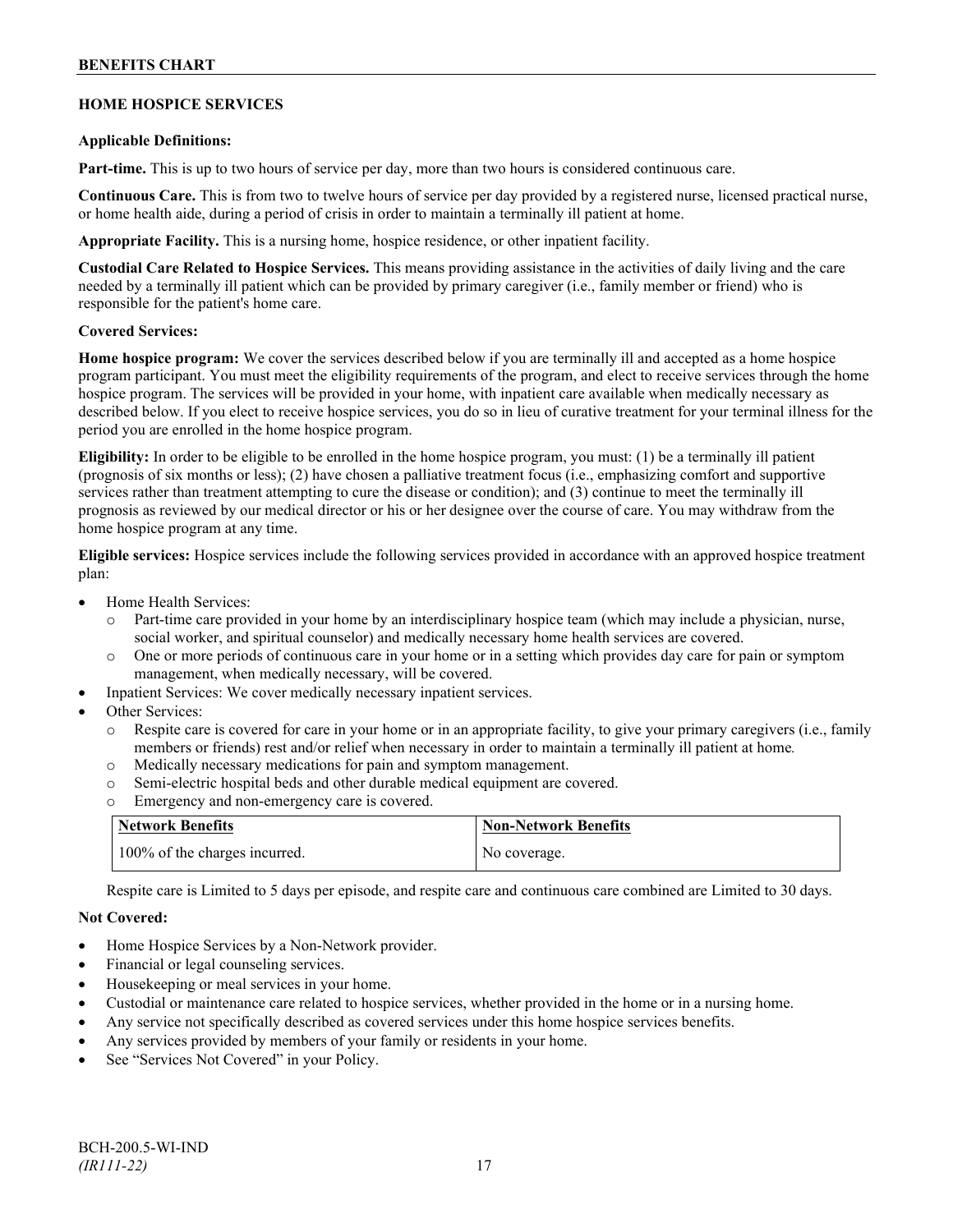## **HOME HOSPICE SERVICES**

#### **Applicable Definitions:**

**Part-time.** This is up to two hours of service per day, more than two hours is considered continuous care.

**Continuous Care.** This is from two to twelve hours of service per day provided by a registered nurse, licensed practical nurse, or home health aide, during a period of crisis in order to maintain a terminally ill patient at home.

**Appropriate Facility.** This is a nursing home, hospice residence, or other inpatient facility.

**Custodial Care Related to Hospice Services.** This means providing assistance in the activities of daily living and the care needed by a terminally ill patient which can be provided by primary caregiver (i.e., family member or friend) who is responsible for the patient's home care.

#### **Covered Services:**

**Home hospice program:** We cover the services described below if you are terminally ill and accepted as a home hospice program participant. You must meet the eligibility requirements of the program, and elect to receive services through the home hospice program. The services will be provided in your home, with inpatient care available when medically necessary as described below. If you elect to receive hospice services, you do so in lieu of curative treatment for your terminal illness for the period you are enrolled in the home hospice program.

**Eligibility:** In order to be eligible to be enrolled in the home hospice program, you must: (1) be a terminally ill patient (prognosis of six months or less); (2) have chosen a palliative treatment focus (i.e., emphasizing comfort and supportive services rather than treatment attempting to cure the disease or condition); and (3) continue to meet the terminally ill prognosis as reviewed by our medical director or his or her designee over the course of care. You may withdraw from the home hospice program at any time.

**Eligible services:** Hospice services include the following services provided in accordance with an approved hospice treatment plan:

- Home Health Services:
	- o Part-time care provided in your home by an interdisciplinary hospice team (which may include a physician, nurse, social worker, and spiritual counselor) and medically necessary home health services are covered.
	- o One or more periods of continuous care in your home or in a setting which provides day care for pain or symptom management, when medically necessary, will be covered.
- Inpatient Services: We cover medically necessary inpatient services.
- Other Services:
	- Respite care is covered for care in your home or in an appropriate facility, to give your primary caregivers (i.e., family members or friends) rest and/or relief when necessary in order to maintain a terminally ill patient at home*.*
	- o Medically necessary medications for pain and symptom management.
	- o Semi-electric hospital beds and other durable medical equipment are covered.
	- o Emergency and non-emergency care is covered.

| Network Benefits              | <b>Non-Network Benefits</b> |
|-------------------------------|-----------------------------|
| 100% of the charges incurred. | No coverage.                |

Respite care is Limited to 5 days per episode, and respite care and continuous care combined are Limited to 30 days.

## **Not Covered:**

- Home Hospice Services by a Non-Network provider.
- Financial or legal counseling services.
- Housekeeping or meal services in your home.
- Custodial or maintenance care related to hospice services, whether provided in the home or in a nursing home.
- Any service not specifically described as covered services under this home hospice services benefits.
- Any services provided by members of your family or residents in your home.
- See "Services Not Covered" in your Policy.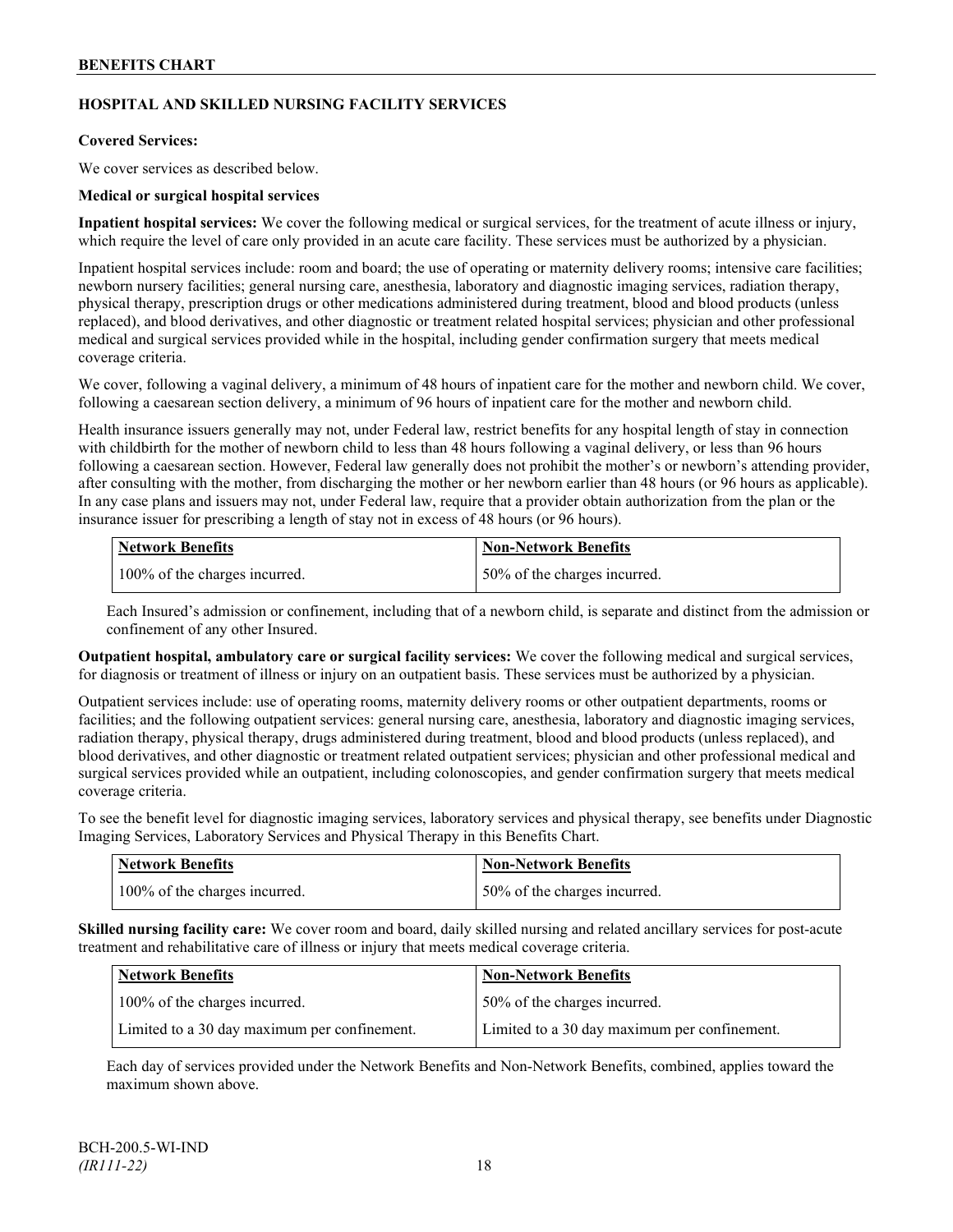## **HOSPITAL AND SKILLED NURSING FACILITY SERVICES**

### **Covered Services:**

We cover services as described below.

#### **Medical or surgical hospital services**

**Inpatient hospital services:** We cover the following medical or surgical services, for the treatment of acute illness or injury, which require the level of care only provided in an acute care facility. These services must be authorized by a physician.

Inpatient hospital services include: room and board; the use of operating or maternity delivery rooms; intensive care facilities; newborn nursery facilities; general nursing care, anesthesia, laboratory and diagnostic imaging services, radiation therapy, physical therapy, prescription drugs or other medications administered during treatment, blood and blood products (unless replaced), and blood derivatives, and other diagnostic or treatment related hospital services; physician and other professional medical and surgical services provided while in the hospital, including gender confirmation surgery that meets medical coverage criteria.

We cover, following a vaginal delivery, a minimum of 48 hours of inpatient care for the mother and newborn child. We cover, following a caesarean section delivery, a minimum of 96 hours of inpatient care for the mother and newborn child.

Health insurance issuers generally may not, under Federal law, restrict benefits for any hospital length of stay in connection with childbirth for the mother of newborn child to less than 48 hours following a vaginal delivery, or less than 96 hours following a caesarean section. However, Federal law generally does not prohibit the mother's or newborn's attending provider, after consulting with the mother, from discharging the mother or her newborn earlier than 48 hours (or 96 hours as applicable). In any case plans and issuers may not, under Federal law, require that a provider obtain authorization from the plan or the insurance issuer for prescribing a length of stay not in excess of 48 hours (or 96 hours).

| Network Benefits              | <b>Non-Network Benefits</b>  |
|-------------------------------|------------------------------|
| 100% of the charges incurred. | 50% of the charges incurred. |

Each Insured's admission or confinement, including that of a newborn child, is separate and distinct from the admission or confinement of any other Insured.

**Outpatient hospital, ambulatory care or surgical facility services:** We cover the following medical and surgical services, for diagnosis or treatment of illness or injury on an outpatient basis. These services must be authorized by a physician.

Outpatient services include: use of operating rooms, maternity delivery rooms or other outpatient departments, rooms or facilities; and the following outpatient services: general nursing care, anesthesia, laboratory and diagnostic imaging services, radiation therapy, physical therapy, drugs administered during treatment, blood and blood products (unless replaced), and blood derivatives, and other diagnostic or treatment related outpatient services; physician and other professional medical and surgical services provided while an outpatient, including colonoscopies, and gender confirmation surgery that meets medical coverage criteria.

To see the benefit level for diagnostic imaging services, laboratory services and physical therapy, see benefits under Diagnostic Imaging Services, Laboratory Services and Physical Therapy in this Benefits Chart.

| <b>Network Benefits</b>       | <b>Non-Network Benefits</b>  |
|-------------------------------|------------------------------|
| 100% of the charges incurred. | 50% of the charges incurred. |

**Skilled nursing facility care:** We cover room and board, daily skilled nursing and related ancillary services for post-acute treatment and rehabilitative care of illness or injury that meets medical coverage criteria.

| Network Benefits                             | <b>Non-Network Benefits</b>                  |
|----------------------------------------------|----------------------------------------------|
| 100% of the charges incurred.                | 50% of the charges incurred.                 |
| Limited to a 30 day maximum per confinement. | Limited to a 30 day maximum per confinement. |

Each day of services provided under the Network Benefits and Non-Network Benefits, combined, applies toward the maximum shown above.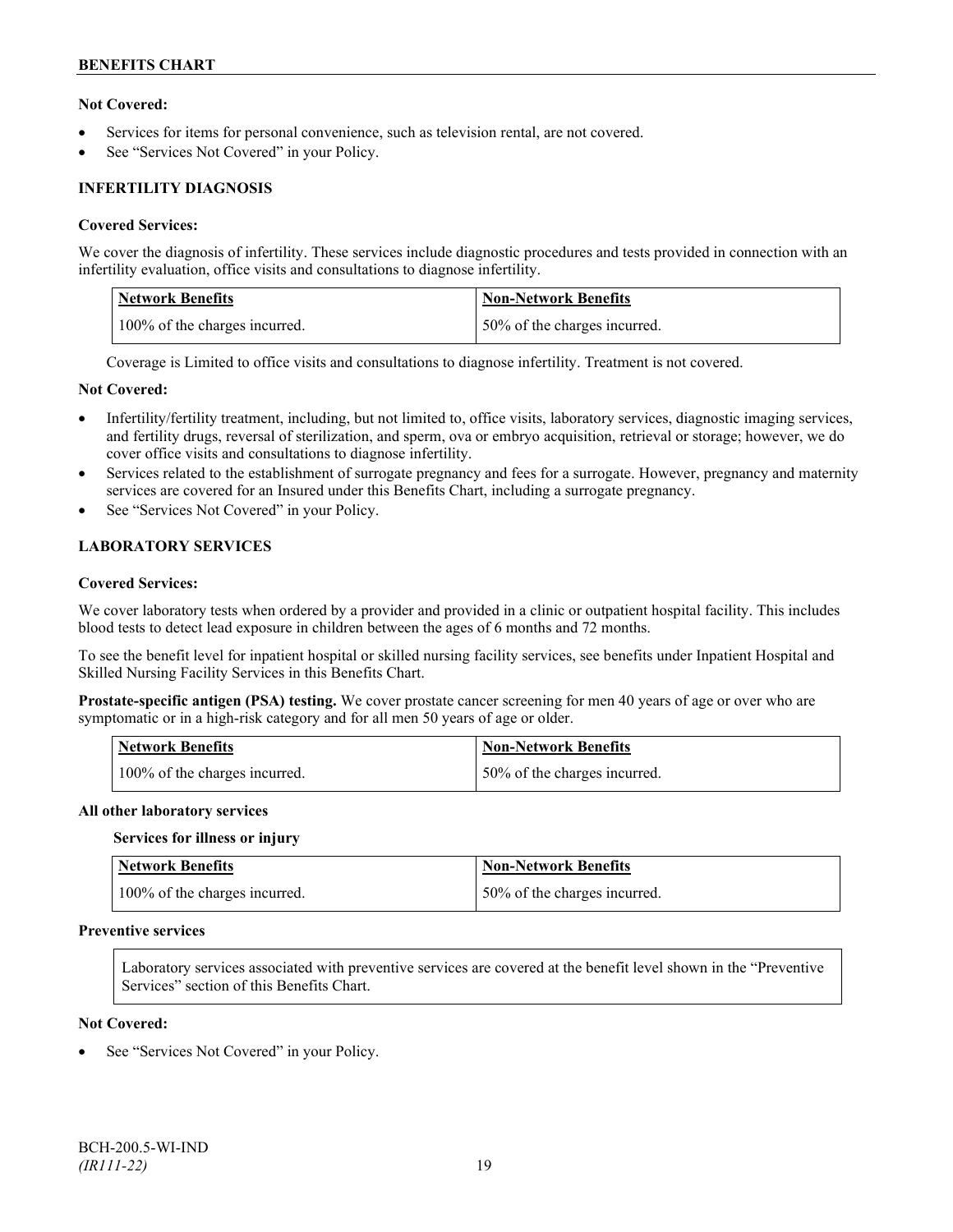## **Not Covered:**

- Services for items for personal convenience, such as television rental, are not covered.
- See "Services Not Covered" in your Policy.

## **INFERTILITY DIAGNOSIS**

#### **Covered Services:**

We cover the diagnosis of infertility. These services include diagnostic procedures and tests provided in connection with an infertility evaluation, office visits and consultations to diagnose infertility.

| <b>Network Benefits</b>       | <b>Non-Network Benefits</b>   |
|-------------------------------|-------------------------------|
| 100% of the charges incurred. | 150% of the charges incurred. |

Coverage is Limited to office visits and consultations to diagnose infertility. Treatment is not covered.

#### **Not Covered:**

- Infertility/fertility treatment, including, but not limited to, office visits, laboratory services, diagnostic imaging services, and fertility drugs, reversal of sterilization, and sperm, ova or embryo acquisition, retrieval or storage; however, we do cover office visits and consultations to diagnose infertility.
- Services related to the establishment of surrogate pregnancy and fees for a surrogate. However, pregnancy and maternity services are covered for an Insured under this Benefits Chart, including a surrogate pregnancy.
- See "Services Not Covered" in your Policy.

## **LABORATORY SERVICES**

#### **Covered Services:**

We cover laboratory tests when ordered by a provider and provided in a clinic or outpatient hospital facility. This includes blood tests to detect lead exposure in children between the ages of 6 months and 72 months.

To see the benefit level for inpatient hospital or skilled nursing facility services, see benefits under Inpatient Hospital and Skilled Nursing Facility Services in this Benefits Chart.

**Prostate-specific antigen (PSA) testing.** We cover prostate cancer screening for men 40 years of age or over who are symptomatic or in a high-risk category and for all men 50 years of age or older.

| <b>Network Benefits</b>       | <b>Non-Network Benefits</b>  |
|-------------------------------|------------------------------|
| 100% of the charges incurred. | 50% of the charges incurred. |

#### **All other laboratory services**

#### **Services for illness or injury**

| <b>Network Benefits</b>       | <b>Non-Network Benefits</b>  |
|-------------------------------|------------------------------|
| 100% of the charges incurred. | 50% of the charges incurred. |

## **Preventive services**

Laboratory services associated with preventive services are covered at the benefit level shown in the "Preventive Services" section of this Benefits Chart.

#### **Not Covered:**

See "Services Not Covered" in your Policy.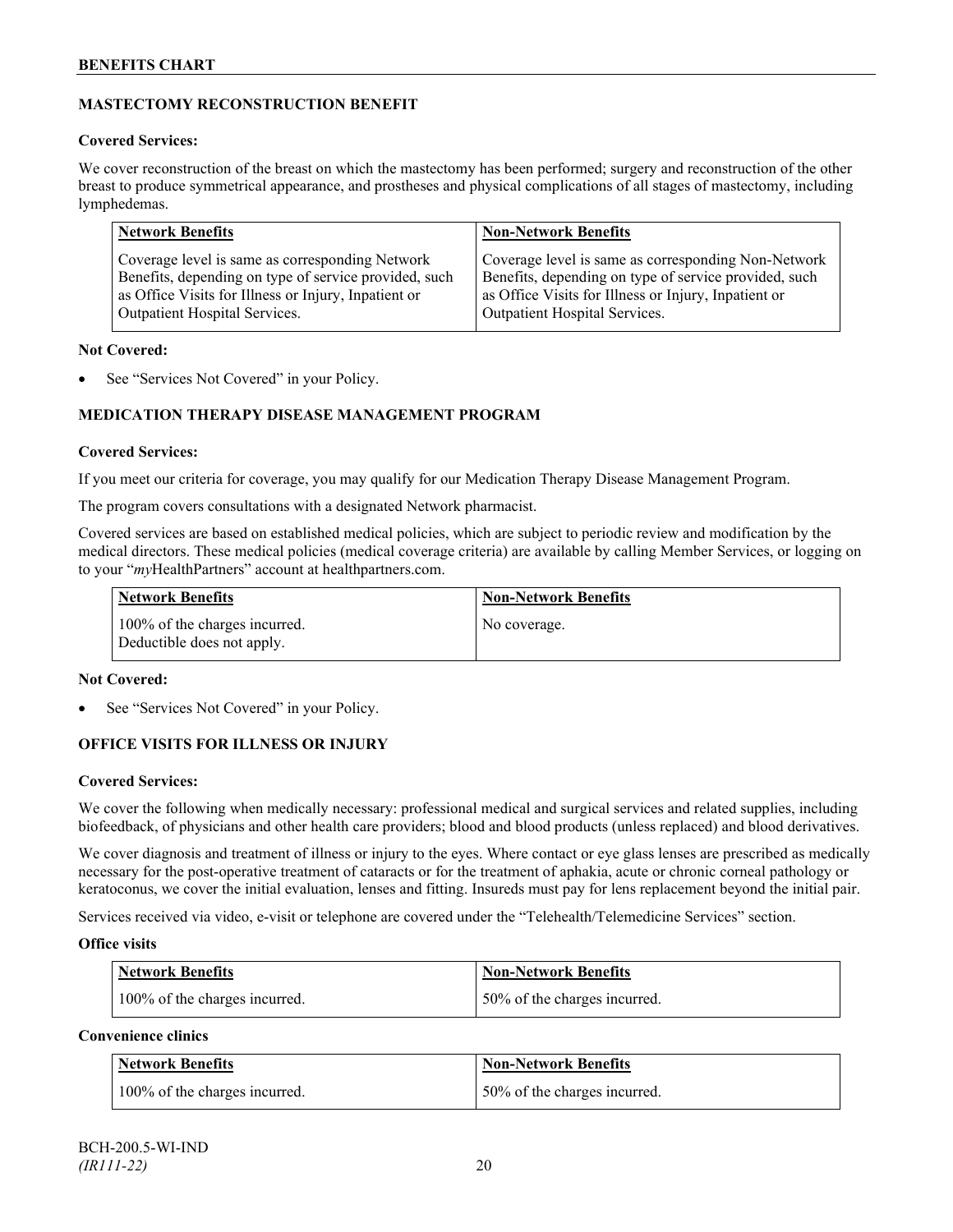## **MASTECTOMY RECONSTRUCTION BENEFIT**

## **Covered Services:**

We cover reconstruction of the breast on which the mastectomy has been performed; surgery and reconstruction of the other breast to produce symmetrical appearance, and prostheses and physical complications of all stages of mastectomy, including lymphedemas.

| <b>Network Benefits</b>                               | <b>Non-Network Benefits</b>                           |
|-------------------------------------------------------|-------------------------------------------------------|
| Coverage level is same as corresponding Network       | Coverage level is same as corresponding Non-Network   |
| Benefits, depending on type of service provided, such | Benefits, depending on type of service provided, such |
| as Office Visits for Illness or Injury, Inpatient or  | as Office Visits for Illness or Injury, Inpatient or  |
| Outpatient Hospital Services.                         | Outpatient Hospital Services.                         |

## **Not Covered:**

See "Services Not Covered" in your Policy.

## **MEDICATION THERAPY DISEASE MANAGEMENT PROGRAM**

## **Covered Services:**

If you meet our criteria for coverage, you may qualify for our Medication Therapy Disease Management Program.

The program covers consultations with a designated Network pharmacist.

Covered services are based on established medical policies, which are subject to periodic review and modification by the medical directors. These medical policies (medical coverage criteria) are available by calling Member Services, or logging on to your "*my*HealthPartners" account at [healthpartners.com.](http://www.healthpartners.com/)

| <b>Network Benefits</b>                                     | <b>Non-Network Benefits</b> |
|-------------------------------------------------------------|-----------------------------|
| 100% of the charges incurred.<br>Deductible does not apply. | No coverage.                |

## **Not Covered:**

See "Services Not Covered" in your Policy.

## **OFFICE VISITS FOR ILLNESS OR INJURY**

## **Covered Services:**

We cover the following when medically necessary: professional medical and surgical services and related supplies, including biofeedback, of physicians and other health care providers; blood and blood products (unless replaced) and blood derivatives.

We cover diagnosis and treatment of illness or injury to the eyes. Where contact or eye glass lenses are prescribed as medically necessary for the post-operative treatment of cataracts or for the treatment of aphakia, acute or chronic corneal pathology or keratoconus, we cover the initial evaluation, lenses and fitting. Insureds must pay for lens replacement beyond the initial pair.

Services received via video, e-visit or telephone are covered under the "Telehealth/Telemedicine Services" section.

## **Office visits**

| Network Benefits              | <b>Non-Network Benefits</b>  |
|-------------------------------|------------------------------|
| 100% of the charges incurred. | 50% of the charges incurred. |

## **Convenience clinics**

| <b>Network Benefits</b>       | <b>Non-Network Benefits</b>  |
|-------------------------------|------------------------------|
| 100% of the charges incurred. | 50% of the charges incurred. |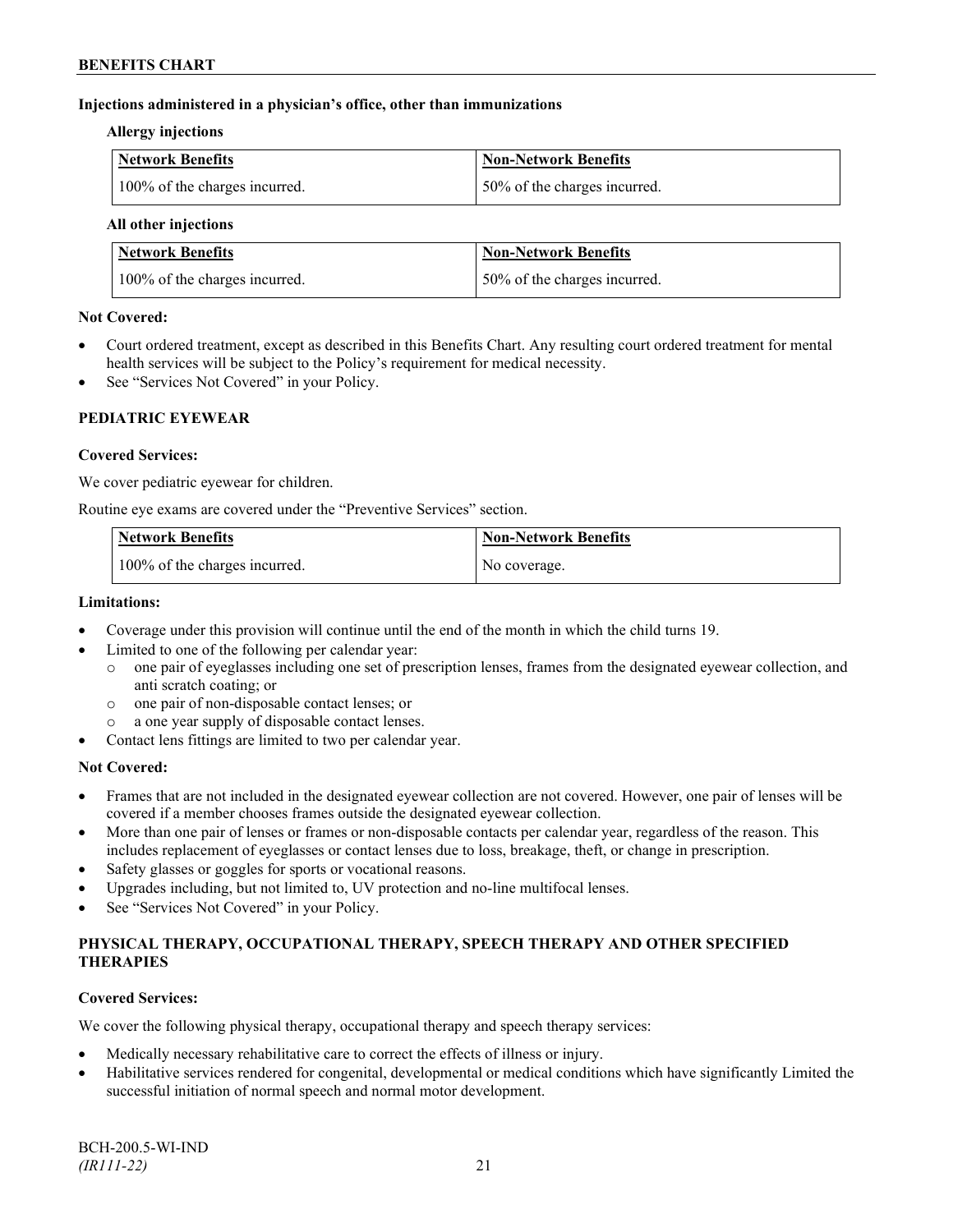## **Injections administered in a physician's office, other than immunizations**

### **Allergy injections**

| Network Benefits              | <b>Non-Network Benefits</b>  |
|-------------------------------|------------------------------|
| 100% of the charges incurred. | 50% of the charges incurred. |

### **All other injections**

| Network Benefits              | Non-Network Benefits         |
|-------------------------------|------------------------------|
| 100% of the charges incurred. | 50% of the charges incurred. |

## **Not Covered:**

- Court ordered treatment, except as described in this Benefits Chart. Any resulting court ordered treatment for mental health services will be subject to the Policy's requirement for medical necessity.
- See "Services Not Covered" in your Policy.

## **PEDIATRIC EYEWEAR**

## **Covered Services:**

We cover pediatric eyewear for children.

Routine eye exams are covered under the "Preventive Services" section.

| <b>Network Benefits</b>       | <b>Non-Network Benefits</b> |
|-------------------------------|-----------------------------|
| 100% of the charges incurred. | No coverage.                |

#### **Limitations:**

- Coverage under this provision will continue until the end of the month in which the child turns 19.
- Limited to one of the following per calendar year:<br>  $\circ$  one pair of eveglasses including one set of present
	- o one pair of eyeglasses including one set of prescription lenses, frames from the designated eyewear collection, and anti scratch coating; or
	- o one pair of non-disposable contact lenses; or
	- a one year supply of disposable contact lenses.
- Contact lens fittings are limited to two per calendar year.

## **Not Covered:**

- Frames that are not included in the designated eyewear collection are not covered. However, one pair of lenses will be covered if a member chooses frames outside the designated eyewear collection.
- More than one pair of lenses or frames or non-disposable contacts per calendar year, regardless of the reason. This includes replacement of eyeglasses or contact lenses due to loss, breakage, theft, or change in prescription.
- Safety glasses or goggles for sports or vocational reasons.
- Upgrades including, but not limited to, UV protection and no-line multifocal lenses.
- See "Services Not Covered" in your Policy.

## **PHYSICAL THERAPY, OCCUPATIONAL THERAPY, SPEECH THERAPY AND OTHER SPECIFIED THERAPIES**

## **Covered Services:**

We cover the following physical therapy, occupational therapy and speech therapy services:

- Medically necessary rehabilitative care to correct the effects of illness or injury.
- Habilitative services rendered for congenital, developmental or medical conditions which have significantly Limited the successful initiation of normal speech and normal motor development.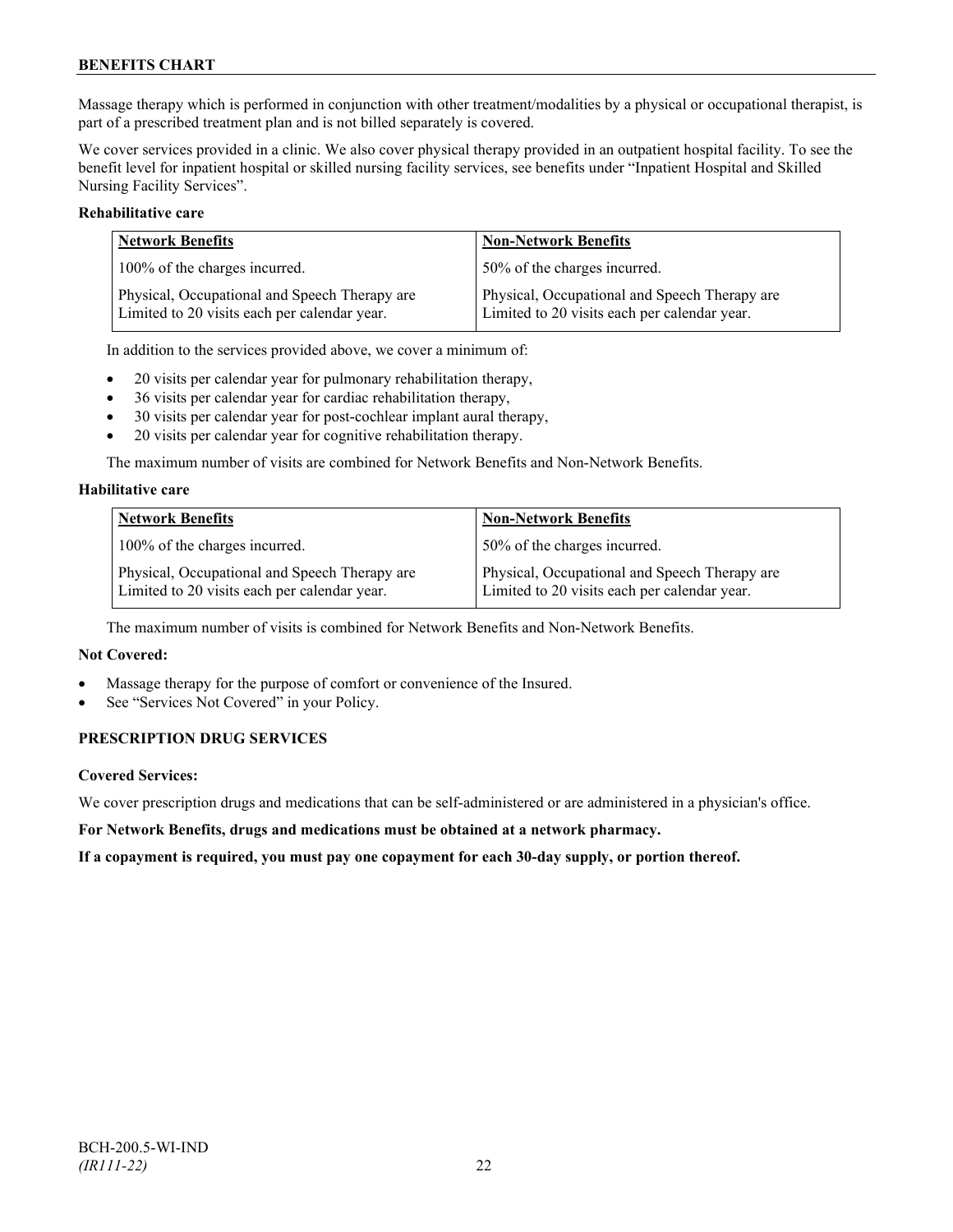Massage therapy which is performed in conjunction with other treatment/modalities by a physical or occupational therapist, is part of a prescribed treatment plan and is not billed separately is covered.

We cover services provided in a clinic. We also cover physical therapy provided in an outpatient hospital facility. To see the benefit level for inpatient hospital or skilled nursing facility services, see benefits under "Inpatient Hospital and Skilled Nursing Facility Services".

## **Rehabilitative care**

| <b>Network Benefits</b>                                                                       | <b>Non-Network Benefits</b>                                                                   |
|-----------------------------------------------------------------------------------------------|-----------------------------------------------------------------------------------------------|
| 100% of the charges incurred.                                                                 | 50% of the charges incurred.                                                                  |
| Physical, Occupational and Speech Therapy are<br>Limited to 20 visits each per calendar year. | Physical, Occupational and Speech Therapy are<br>Limited to 20 visits each per calendar year. |

In addition to the services provided above, we cover a minimum of:

- 20 visits per calendar year for pulmonary rehabilitation therapy,
- 36 visits per calendar year for cardiac rehabilitation therapy,
- 30 visits per calendar year for post-cochlear implant aural therapy,
- 20 visits per calendar year for cognitive rehabilitation therapy.

The maximum number of visits are combined for Network Benefits and Non-Network Benefits.

## **Habilitative care**

| <b>Network Benefits</b>                                                                       | <b>Non-Network Benefits</b>                                                                   |
|-----------------------------------------------------------------------------------------------|-----------------------------------------------------------------------------------------------|
| 100% of the charges incurred.                                                                 | 50% of the charges incurred.                                                                  |
| Physical, Occupational and Speech Therapy are<br>Limited to 20 visits each per calendar year. | Physical, Occupational and Speech Therapy are<br>Limited to 20 visits each per calendar year. |

The maximum number of visits is combined for Network Benefits and Non-Network Benefits.

## **Not Covered:**

- Massage therapy for the purpose of comfort or convenience of the Insured.
- See "Services Not Covered" in your Policy.

## **PRESCRIPTION DRUG SERVICES**

## **Covered Services:**

We cover prescription drugs and medications that can be self-administered or are administered in a physician's office.

**For Network Benefits, drugs and medications must be obtained at a network pharmacy.**

**If a copayment is required, you must pay one copayment for each 30-day supply, or portion thereof.**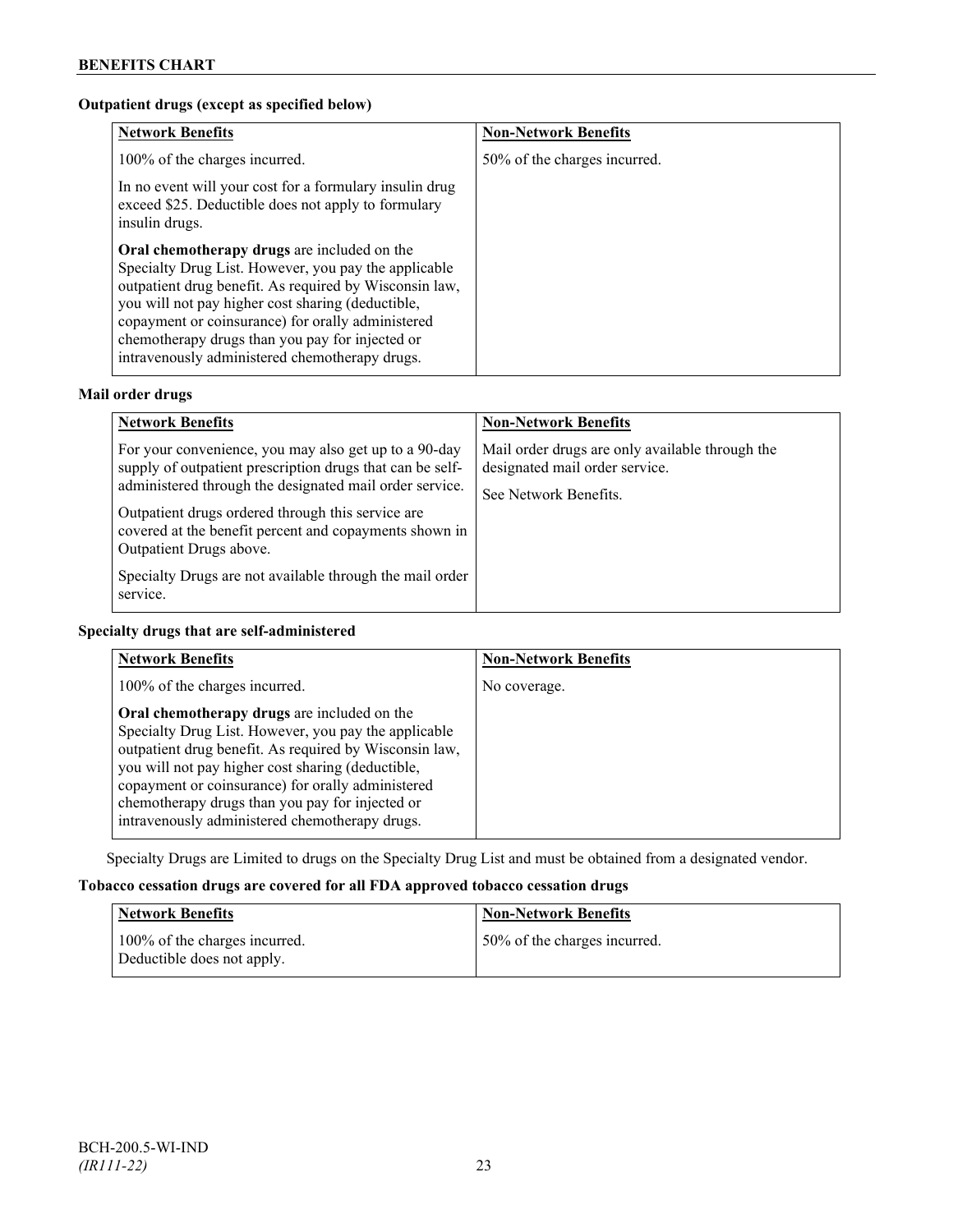## **Outpatient drugs (except as specified below)**

| <b>Network Benefits</b>                                                                                                                                                                                                                                                                                                                                                      | <b>Non-Network Benefits</b>  |
|------------------------------------------------------------------------------------------------------------------------------------------------------------------------------------------------------------------------------------------------------------------------------------------------------------------------------------------------------------------------------|------------------------------|
| 100% of the charges incurred.                                                                                                                                                                                                                                                                                                                                                | 50% of the charges incurred. |
| In no event will your cost for a formulary insulin drug<br>exceed \$25. Deductible does not apply to formulary<br>insulin drugs.                                                                                                                                                                                                                                             |                              |
| Oral chemotherapy drugs are included on the<br>Specialty Drug List. However, you pay the applicable<br>outpatient drug benefit. As required by Wisconsin law,<br>you will not pay higher cost sharing (deductible,<br>copayment or coinsurance) for orally administered<br>chemotherapy drugs than you pay for injected or<br>intravenously administered chemotherapy drugs. |                              |

## **Mail order drugs**

| <b>Network Benefits</b>                                                                                                                                                                                                                                                                                                                                                                         | <b>Non-Network Benefits</b>                                                                                |
|-------------------------------------------------------------------------------------------------------------------------------------------------------------------------------------------------------------------------------------------------------------------------------------------------------------------------------------------------------------------------------------------------|------------------------------------------------------------------------------------------------------------|
| For your convenience, you may also get up to a 90-day<br>supply of outpatient prescription drugs that can be self-<br>administered through the designated mail order service.<br>Outpatient drugs ordered through this service are<br>covered at the benefit percent and copayments shown in<br>Outpatient Drugs above.<br>Specialty Drugs are not available through the mail order<br>service. | Mail order drugs are only available through the<br>designated mail order service.<br>See Network Benefits. |

## **Specialty drugs that are self-administered**

| <b>Network Benefits</b>                                                                                                                                                                                                                                                                                                                                                      | <b>Non-Network Benefits</b> |
|------------------------------------------------------------------------------------------------------------------------------------------------------------------------------------------------------------------------------------------------------------------------------------------------------------------------------------------------------------------------------|-----------------------------|
| 100% of the charges incurred.                                                                                                                                                                                                                                                                                                                                                | No coverage.                |
| Oral chemotherapy drugs are included on the<br>Specialty Drug List. However, you pay the applicable<br>outpatient drug benefit. As required by Wisconsin law,<br>you will not pay higher cost sharing (deductible,<br>copayment or coinsurance) for orally administered<br>chemotherapy drugs than you pay for injected or<br>intravenously administered chemotherapy drugs. |                             |

Specialty Drugs are Limited to drugs on the Specialty Drug List and must be obtained from a designated vendor.

## **Tobacco cessation drugs are covered for all FDA approved tobacco cessation drugs**

| <b>Network Benefits</b>                                     | <b>Non-Network Benefits</b>  |
|-------------------------------------------------------------|------------------------------|
| 100% of the charges incurred.<br>Deductible does not apply. | 50% of the charges incurred. |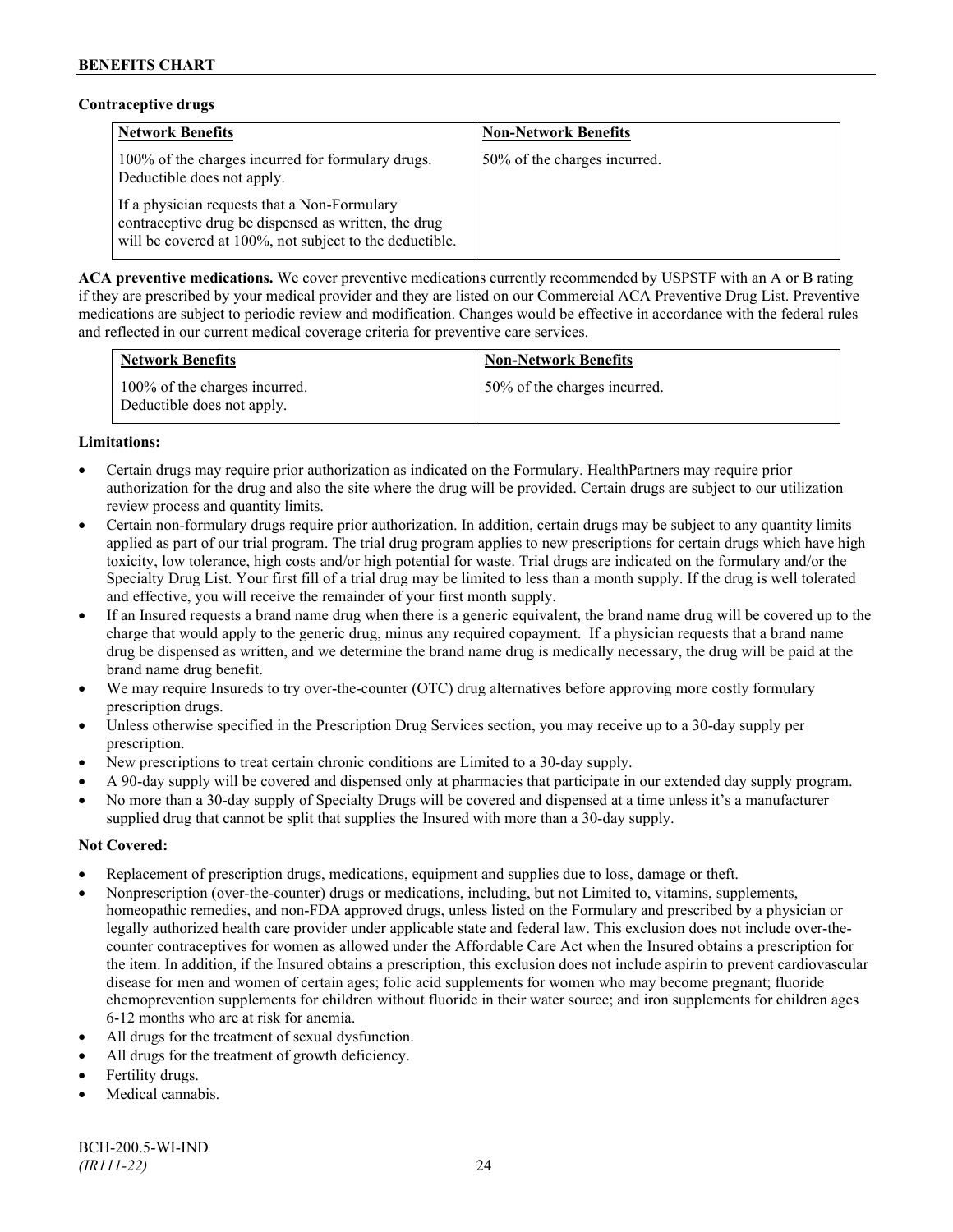## **Contraceptive drugs**

| <b>Network Benefits</b>                                                                                                                                         | <b>Non-Network Benefits</b>  |
|-----------------------------------------------------------------------------------------------------------------------------------------------------------------|------------------------------|
| 100% of the charges incurred for formulary drugs.<br>Deductible does not apply.                                                                                 | 50% of the charges incurred. |
| If a physician requests that a Non-Formulary<br>contraceptive drug be dispensed as written, the drug<br>will be covered at 100%, not subject to the deductible. |                              |

**ACA preventive medications.** We cover preventive medications currently recommended by USPSTF with an A or B rating if they are prescribed by your medical provider and they are listed on our Commercial ACA Preventive Drug List. Preventive medications are subject to periodic review and modification. Changes would be effective in accordance with the federal rules and reflected in our current medical coverage criteria for preventive care services.

| <b>Network Benefits</b>                                     | <b>Non-Network Benefits</b>  |
|-------------------------------------------------------------|------------------------------|
| 100% of the charges incurred.<br>Deductible does not apply. | 50% of the charges incurred. |

## **Limitations:**

- Certain drugs may require prior authorization as indicated on the Formulary. HealthPartners may require prior authorization for the drug and also the site where the drug will be provided. Certain drugs are subject to our utilization review process and quantity limits.
- Certain non-formulary drugs require prior authorization. In addition, certain drugs may be subject to any quantity limits applied as part of our trial program. The trial drug program applies to new prescriptions for certain drugs which have high toxicity, low tolerance, high costs and/or high potential for waste. Trial drugs are indicated on the formulary and/or the Specialty Drug List. Your first fill of a trial drug may be limited to less than a month supply. If the drug is well tolerated and effective, you will receive the remainder of your first month supply.
- If an Insured requests a brand name drug when there is a generic equivalent, the brand name drug will be covered up to the charge that would apply to the generic drug, minus any required copayment. If a physician requests that a brand name drug be dispensed as written, and we determine the brand name drug is medically necessary, the drug will be paid at the brand name drug benefit.
- We may require Insureds to try over-the-counter (OTC) drug alternatives before approving more costly formulary prescription drugs.
- Unless otherwise specified in the Prescription Drug Services section, you may receive up to a 30-day supply per prescription.
- New prescriptions to treat certain chronic conditions are Limited to a 30-day supply.
- A 90-day supply will be covered and dispensed only at pharmacies that participate in our extended day supply program.
- No more than a 30-day supply of Specialty Drugs will be covered and dispensed at a time unless it's a manufacturer supplied drug that cannot be split that supplies the Insured with more than a 30-day supply.

## **Not Covered:**

- Replacement of prescription drugs, medications, equipment and supplies due to loss, damage or theft.
- Nonprescription (over-the-counter) drugs or medications, including, but not Limited to, vitamins, supplements, homeopathic remedies, and non-FDA approved drugs, unless listed on the Formulary and prescribed by a physician or legally authorized health care provider under applicable state and federal law. This exclusion does not include over-thecounter contraceptives for women as allowed under the Affordable Care Act when the Insured obtains a prescription for the item. In addition, if the Insured obtains a prescription, this exclusion does not include aspirin to prevent cardiovascular disease for men and women of certain ages; folic acid supplements for women who may become pregnant; fluoride chemoprevention supplements for children without fluoride in their water source; and iron supplements for children ages 6-12 months who are at risk for anemia.
- All drugs for the treatment of sexual dysfunction.
- All drugs for the treatment of growth deficiency.
- Fertility drugs.
- Medical cannabis.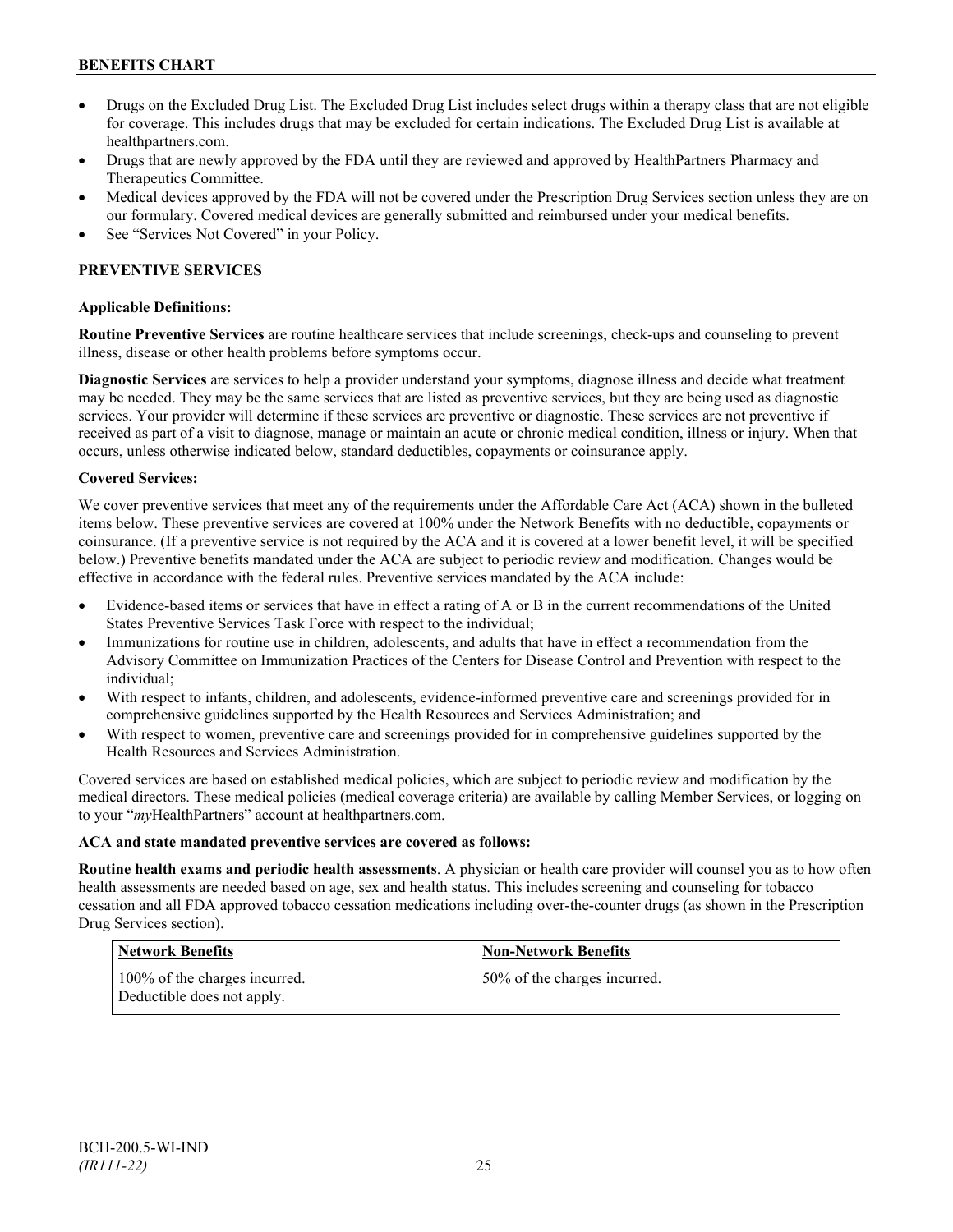- Drugs on the Excluded Drug List. The Excluded Drug List includes select drugs within a therapy class that are not eligible for coverage. This includes drugs that may be excluded for certain indications. The Excluded Drug List is available at [healthpartners.com.](http://www.healthpartners.com/)
- Drugs that are newly approved by the FDA until they are reviewed and approved by HealthPartners Pharmacy and Therapeutics Committee.
- Medical devices approved by the FDA will not be covered under the Prescription Drug Services section unless they are on our formulary. Covered medical devices are generally submitted and reimbursed under your medical benefits.
- See "Services Not Covered" in your Policy.

## **PREVENTIVE SERVICES**

## **Applicable Definitions:**

**Routine Preventive Services** are routine healthcare services that include screenings, check-ups and counseling to prevent illness, disease or other health problems before symptoms occur.

**Diagnostic Services** are services to help a provider understand your symptoms, diagnose illness and decide what treatment may be needed. They may be the same services that are listed as preventive services, but they are being used as diagnostic services. Your provider will determine if these services are preventive or diagnostic. These services are not preventive if received as part of a visit to diagnose, manage or maintain an acute or chronic medical condition, illness or injury. When that occurs, unless otherwise indicated below, standard deductibles, copayments or coinsurance apply.

#### **Covered Services:**

We cover preventive services that meet any of the requirements under the Affordable Care Act (ACA) shown in the bulleted items below. These preventive services are covered at 100% under the Network Benefits with no deductible, copayments or coinsurance. (If a preventive service is not required by the ACA and it is covered at a lower benefit level, it will be specified below.) Preventive benefits mandated under the ACA are subject to periodic review and modification. Changes would be effective in accordance with the federal rules. Preventive services mandated by the ACA include:

- Evidence-based items or services that have in effect a rating of A or B in the current recommendations of the United States Preventive Services Task Force with respect to the individual;
- Immunizations for routine use in children, adolescents, and adults that have in effect a recommendation from the Advisory Committee on Immunization Practices of the Centers for Disease Control and Prevention with respect to the individual;
- With respect to infants, children, and adolescents, evidence-informed preventive care and screenings provided for in comprehensive guidelines supported by the Health Resources and Services Administration; and
- With respect to women, preventive care and screenings provided for in comprehensive guidelines supported by the Health Resources and Services Administration.

Covered services are based on established medical policies, which are subject to periodic review and modification by the medical directors. These medical policies (medical coverage criteria) are available by calling Member Services, or logging on to your "*my*HealthPartners" account at [healthpartners.com.](http://www.healthpartners.com/)

#### **ACA and state mandated preventive services are covered as follows:**

**Routine health exams and periodic health assessments**. A physician or health care provider will counsel you as to how often health assessments are needed based on age, sex and health status. This includes screening and counseling for tobacco cessation and all FDA approved tobacco cessation medications including over-the-counter drugs (as shown in the Prescription Drug Services section).

| Network Benefits                                            | <b>Non-Network Benefits</b>  |
|-------------------------------------------------------------|------------------------------|
| 100% of the charges incurred.<br>Deductible does not apply. | 50% of the charges incurred. |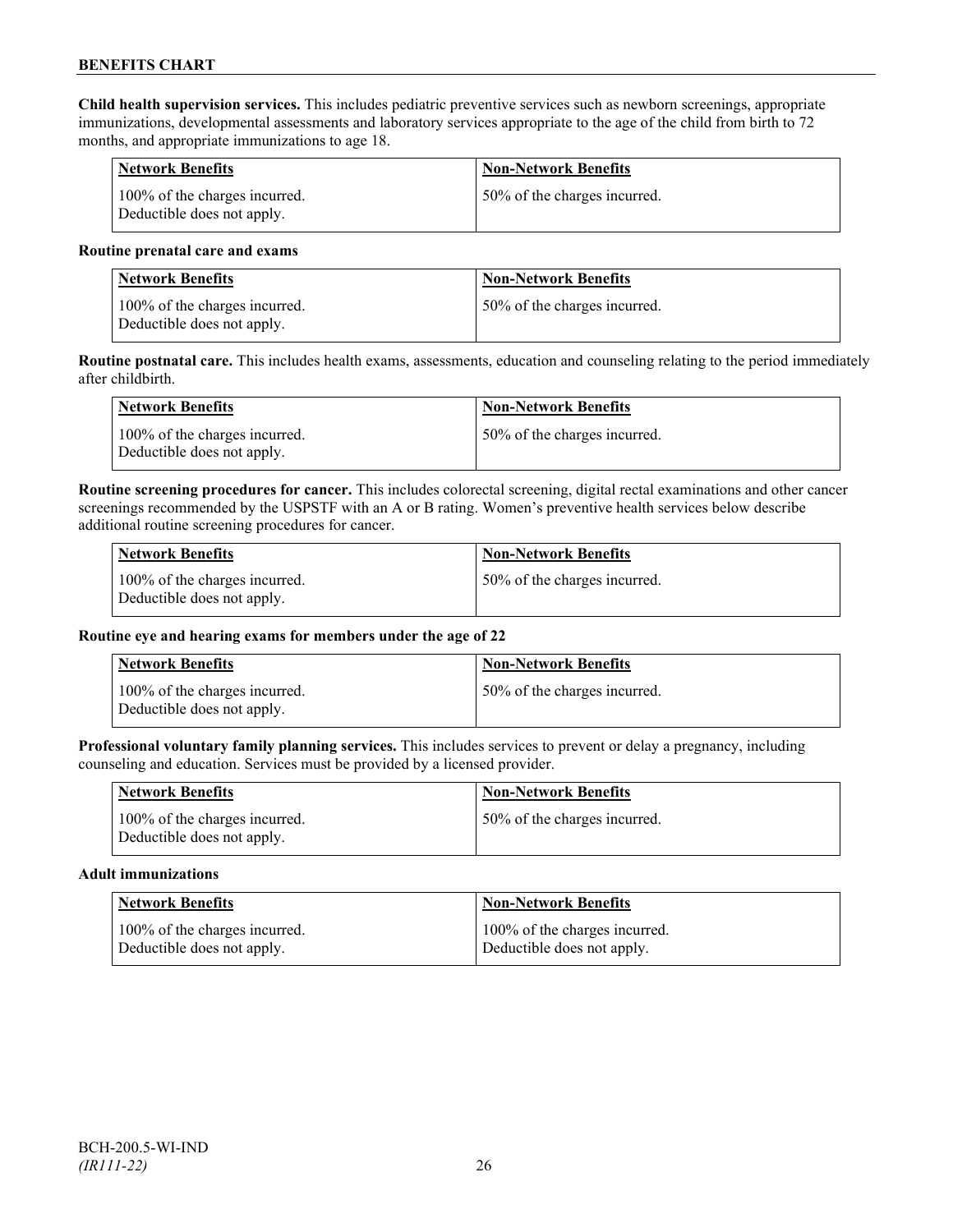**Child health supervision services.** This includes pediatric preventive services such as newborn screenings, appropriate immunizations, developmental assessments and laboratory services appropriate to the age of the child from birth to 72 months, and appropriate immunizations to age 18.

| Network Benefits                                            | <b>Non-Network Benefits</b>  |
|-------------------------------------------------------------|------------------------------|
| 100% of the charges incurred.<br>Deductible does not apply. | 50% of the charges incurred. |

#### **Routine prenatal care and exams**

| <b>Network Benefits</b>                                     | <b>Non-Network Benefits</b>   |
|-------------------------------------------------------------|-------------------------------|
| 100% of the charges incurred.<br>Deductible does not apply. | 150% of the charges incurred. |

**Routine postnatal care.** This includes health exams, assessments, education and counseling relating to the period immediately after childbirth.

| Network Benefits                                            | <b>Non-Network Benefits</b>  |
|-------------------------------------------------------------|------------------------------|
| 100% of the charges incurred.<br>Deductible does not apply. | 50% of the charges incurred. |

**Routine screening procedures for cancer.** This includes colorectal screening, digital rectal examinations and other cancer screenings recommended by the USPSTF with an A or B rating. Women's preventive health services below describe additional routine screening procedures for cancer.

| Network Benefits                                            | <b>Non-Network Benefits</b>  |
|-------------------------------------------------------------|------------------------------|
| 100% of the charges incurred.<br>Deductible does not apply. | 50% of the charges incurred. |

## **Routine eye and hearing exams for members under the age of 22**

| <b>Network Benefits</b>                                     | <b>Non-Network Benefits</b>  |
|-------------------------------------------------------------|------------------------------|
| 100% of the charges incurred.<br>Deductible does not apply. | 50% of the charges incurred. |

**Professional voluntary family planning services.** This includes services to prevent or delay a pregnancy, including counseling and education. Services must be provided by a licensed provider.

| <b>Network Benefits</b>                                     | <b>Non-Network Benefits</b>  |
|-------------------------------------------------------------|------------------------------|
| 100% of the charges incurred.<br>Deductible does not apply. | 50% of the charges incurred. |

#### **Adult immunizations**

| Network Benefits              | <b>Non-Network Benefits</b>   |
|-------------------------------|-------------------------------|
| 100% of the charges incurred. | 100% of the charges incurred. |
| Deductible does not apply.    | Deductible does not apply.    |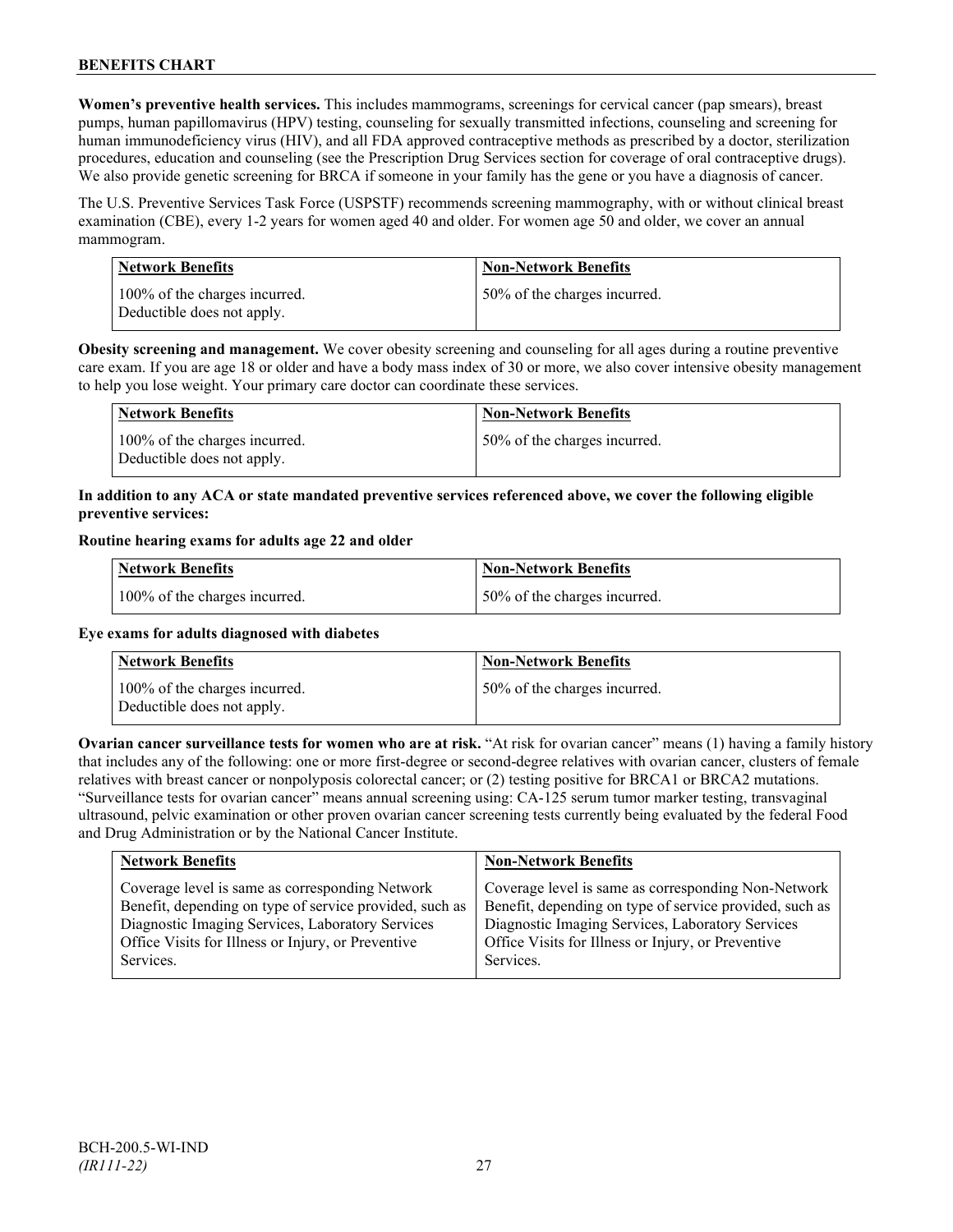**Women's preventive health services.** This includes mammograms, screenings for cervical cancer (pap smears), breast pumps, human papillomavirus (HPV) testing, counseling for sexually transmitted infections, counseling and screening for human immunodeficiency virus (HIV), and all FDA approved contraceptive methods as prescribed by a doctor, sterilization procedures, education and counseling (see the Prescription Drug Services section for coverage of oral contraceptive drugs). We also provide genetic screening for BRCA if someone in your family has the gene or you have a diagnosis of cancer.

The U.S. Preventive Services Task Force (USPSTF) recommends screening mammography, with or without clinical breast examination (CBE), every 1-2 years for women aged 40 and older. For women age 50 and older, we cover an annual mammogram.

| <b>Network Benefits</b>                                     | <b>Non-Network Benefits</b>  |
|-------------------------------------------------------------|------------------------------|
| 100% of the charges incurred.<br>Deductible does not apply. | 50% of the charges incurred. |

**Obesity screening and management.** We cover obesity screening and counseling for all ages during a routine preventive care exam. If you are age 18 or older and have a body mass index of 30 or more, we also cover intensive obesity management to help you lose weight. Your primary care doctor can coordinate these services.

| <b>Network Benefits</b>                                     | <b>Non-Network Benefits</b>  |
|-------------------------------------------------------------|------------------------------|
| 100% of the charges incurred.<br>Deductible does not apply. | 50% of the charges incurred. |

## **In addition to any ACA or state mandated preventive services referenced above, we cover the following eligible preventive services:**

#### **Routine hearing exams for adults age 22 and older**

| Network Benefits              | Non-Network Benefits         |
|-------------------------------|------------------------------|
| 100% of the charges incurred. | 50% of the charges incurred. |

## **Eye exams for adults diagnosed with diabetes**

| Network Benefits                                            | <b>Non-Network Benefits</b>  |
|-------------------------------------------------------------|------------------------------|
| 100% of the charges incurred.<br>Deductible does not apply. | 50% of the charges incurred. |

**Ovarian cancer surveillance tests for women who are at risk.** "At risk for ovarian cancer" means (1) having a family history that includes any of the following: one or more first-degree or second-degree relatives with ovarian cancer, clusters of female relatives with breast cancer or nonpolyposis colorectal cancer; or (2) testing positive for BRCA1 or BRCA2 mutations. "Surveillance tests for ovarian cancer" means annual screening using: CA-125 serum tumor marker testing, transvaginal ultrasound, pelvic examination or other proven ovarian cancer screening tests currently being evaluated by the federal Food and Drug Administration or by the National Cancer Institute.

| <b>Network Benefits</b>                                 | <b>Non-Network Benefits</b>                             |
|---------------------------------------------------------|---------------------------------------------------------|
| Coverage level is same as corresponding Network         | Coverage level is same as corresponding Non-Network     |
| Benefit, depending on type of service provided, such as | Benefit, depending on type of service provided, such as |
| Diagnostic Imaging Services, Laboratory Services        | Diagnostic Imaging Services, Laboratory Services        |
| Office Visits for Illness or Injury, or Preventive      | Office Visits for Illness or Injury, or Preventive      |
| Services.                                               | Services.                                               |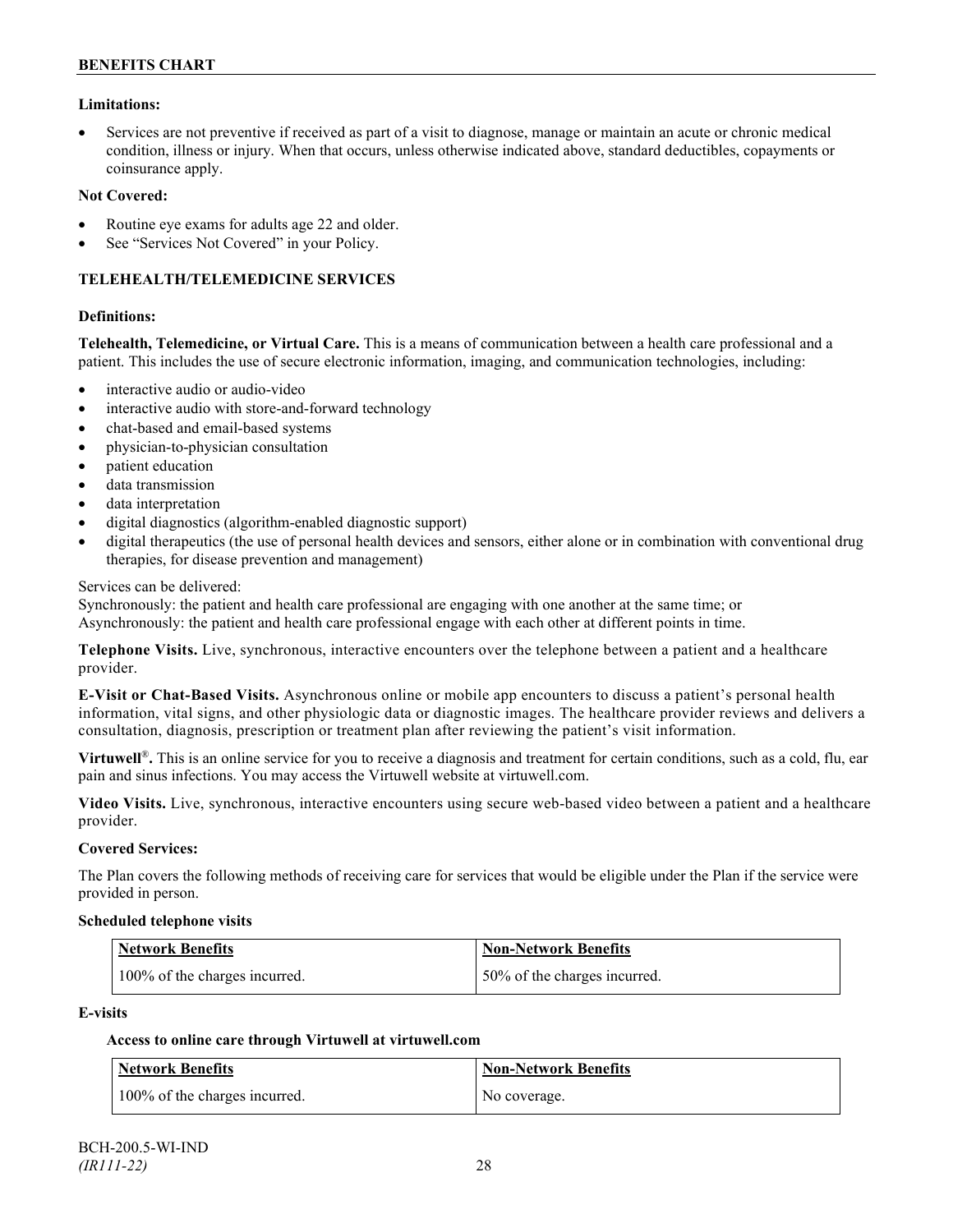### **Limitations:**

• Services are not preventive if received as part of a visit to diagnose, manage or maintain an acute or chronic medical condition, illness or injury. When that occurs, unless otherwise indicated above, standard deductibles, copayments or coinsurance apply.

#### **Not Covered:**

- Routine eye exams for adults age 22 and older.
- See "Services Not Covered" in your Policy.

#### **TELEHEALTH/TELEMEDICINE SERVICES**

#### **Definitions:**

**Telehealth, Telemedicine, or Virtual Care.** This is a means of communication between a health care professional and a patient. This includes the use of secure electronic information, imaging, and communication technologies, including:

- interactive audio or audio-video
- interactive audio with store-and-forward technology
- chat-based and email-based systems
- physician-to-physician consultation
- patient education
- data transmission
- data interpretation
- digital diagnostics (algorithm-enabled diagnostic support)
- digital therapeutics (the use of personal health devices and sensors, either alone or in combination with conventional drug therapies, for disease prevention and management)

#### Services can be delivered:

Synchronously: the patient and health care professional are engaging with one another at the same time; or Asynchronously: the patient and health care professional engage with each other at different points in time.

**Telephone Visits.** Live, synchronous, interactive encounters over the telephone between a patient and a healthcare provider.

**E-Visit or Chat-Based Visits.** Asynchronous online or mobile app encounters to discuss a patient's personal health information, vital signs, and other physiologic data or diagnostic images. The healthcare provider reviews and delivers a consultation, diagnosis, prescription or treatment plan after reviewing the patient's visit information.

**Virtuwell<sup>®</sup>**. This is an online service for you to receive a diagnosis and treatment for certain conditions, such as a cold, flu, ear pain and sinus infections. You may access the Virtuwell website at [virtuwell.com.](https://www.virtuwell.com/)

**Video Visits.** Live, synchronous, interactive encounters using secure web-based video between a patient and a healthcare provider.

#### **Covered Services:**

The Plan covers the following methods of receiving care for services that would be eligible under the Plan if the service were provided in person.

#### **Scheduled telephone visits**

| <b>Network Benefits</b>       | Non-Network Benefits         |
|-------------------------------|------------------------------|
| 100% of the charges incurred. | 50% of the charges incurred. |

#### **E-visits**

## **Access to online care through Virtuwell at [virtuwell.com](http://www.virtuwell.com/)**

| Network Benefits              | <b>Non-Network Benefits</b> |
|-------------------------------|-----------------------------|
| 100% of the charges incurred. | No coverage.                |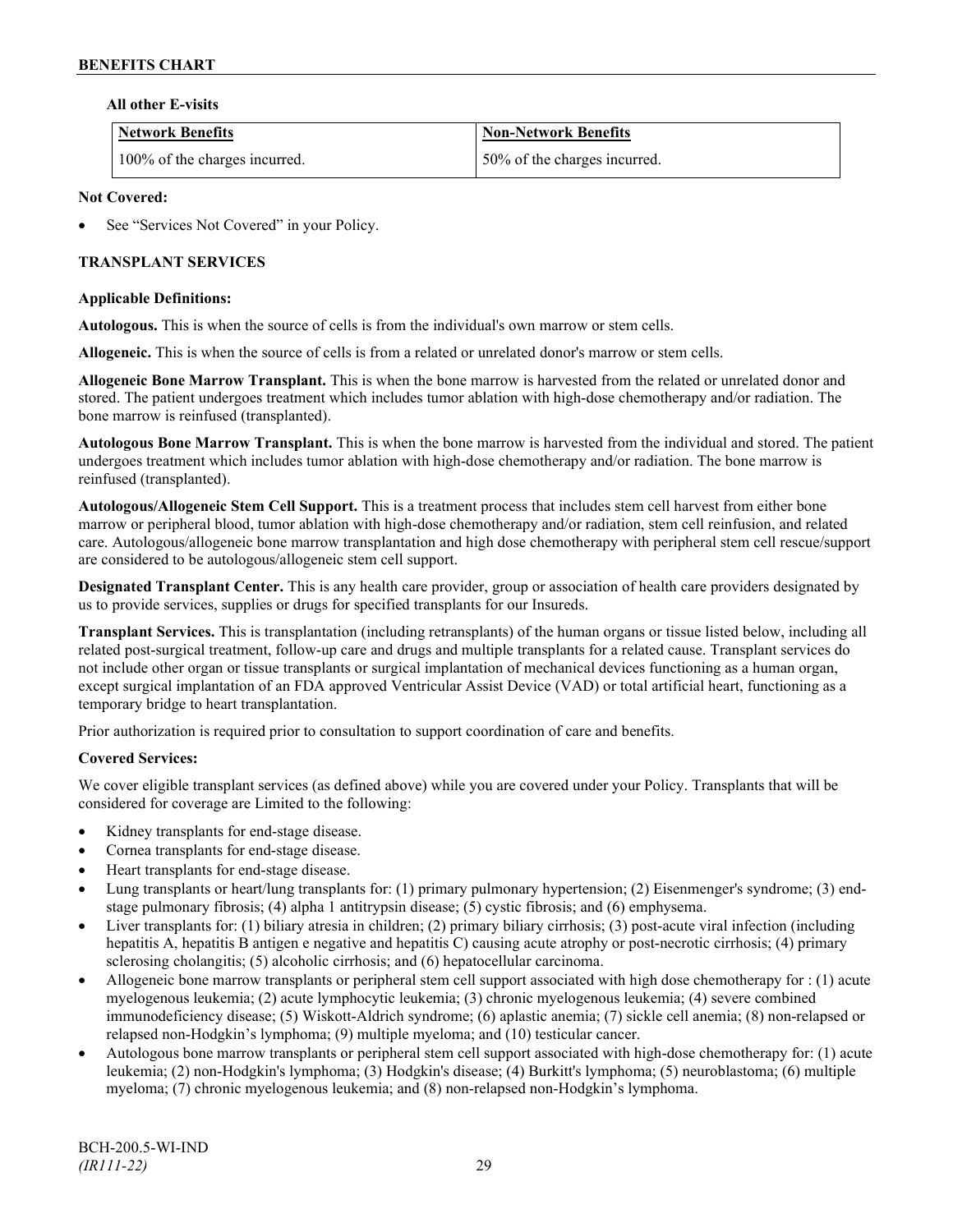### **All other E-visits**

| <b>Network Benefits</b>       | <b>Non-Network Benefits</b>  |
|-------------------------------|------------------------------|
| 100% of the charges incurred. | 50% of the charges incurred. |

### **Not Covered:**

See "Services Not Covered" in your Policy.

## **TRANSPLANT SERVICES**

#### **Applicable Definitions:**

**Autologous.** This is when the source of cells is from the individual's own marrow or stem cells.

**Allogeneic.** This is when the source of cells is from a related or unrelated donor's marrow or stem cells.

**Allogeneic Bone Marrow Transplant.** This is when the bone marrow is harvested from the related or unrelated donor and stored. The patient undergoes treatment which includes tumor ablation with high-dose chemotherapy and/or radiation. The bone marrow is reinfused (transplanted).

**Autologous Bone Marrow Transplant.** This is when the bone marrow is harvested from the individual and stored. The patient undergoes treatment which includes tumor ablation with high-dose chemotherapy and/or radiation. The bone marrow is reinfused (transplanted).

**Autologous/Allogeneic Stem Cell Support.** This is a treatment process that includes stem cell harvest from either bone marrow or peripheral blood, tumor ablation with high-dose chemotherapy and/or radiation, stem cell reinfusion, and related care. Autologous/allogeneic bone marrow transplantation and high dose chemotherapy with peripheral stem cell rescue/support are considered to be autologous/allogeneic stem cell support.

**Designated Transplant Center.** This is any health care provider, group or association of health care providers designated by us to provide services, supplies or drugs for specified transplants for our Insureds.

**Transplant Services.** This is transplantation (including retransplants) of the human organs or tissue listed below, including all related post-surgical treatment, follow-up care and drugs and multiple transplants for a related cause. Transplant services do not include other organ or tissue transplants or surgical implantation of mechanical devices functioning as a human organ, except surgical implantation of an FDA approved Ventricular Assist Device (VAD) or total artificial heart, functioning as a temporary bridge to heart transplantation.

Prior authorization is required prior to consultation to support coordination of care and benefits.

## **Covered Services:**

We cover eligible transplant services (as defined above) while you are covered under your Policy. Transplants that will be considered for coverage are Limited to the following:

- Kidney transplants for end-stage disease.
- Cornea transplants for end-stage disease.
- Heart transplants for end-stage disease.
- Lung transplants or heart/lung transplants for: (1) primary pulmonary hypertension; (2) Eisenmenger's syndrome; (3) endstage pulmonary fibrosis; (4) alpha 1 antitrypsin disease; (5) cystic fibrosis; and (6) emphysema.
- Liver transplants for: (1) biliary atresia in children; (2) primary biliary cirrhosis; (3) post-acute viral infection (including hepatitis A, hepatitis B antigen e negative and hepatitis C) causing acute atrophy or post-necrotic cirrhosis; (4) primary sclerosing cholangitis; (5) alcoholic cirrhosis; and (6) hepatocellular carcinoma.
- Allogeneic bone marrow transplants or peripheral stem cell support associated with high dose chemotherapy for : (1) acute myelogenous leukemia; (2) acute lymphocytic leukemia; (3) chronic myelogenous leukemia; (4) severe combined immunodeficiency disease; (5) Wiskott-Aldrich syndrome; (6) aplastic anemia; (7) sickle cell anemia; (8) non-relapsed or relapsed non-Hodgkin's lymphoma; (9) multiple myeloma; and (10) testicular cancer.
- Autologous bone marrow transplants or peripheral stem cell support associated with high-dose chemotherapy for: (1) acute leukemia; (2) non-Hodgkin's lymphoma; (3) Hodgkin's disease; (4) Burkitt's lymphoma; (5) neuroblastoma; (6) multiple myeloma; (7) chronic myelogenous leukemia; and (8) non-relapsed non-Hodgkin's lymphoma.